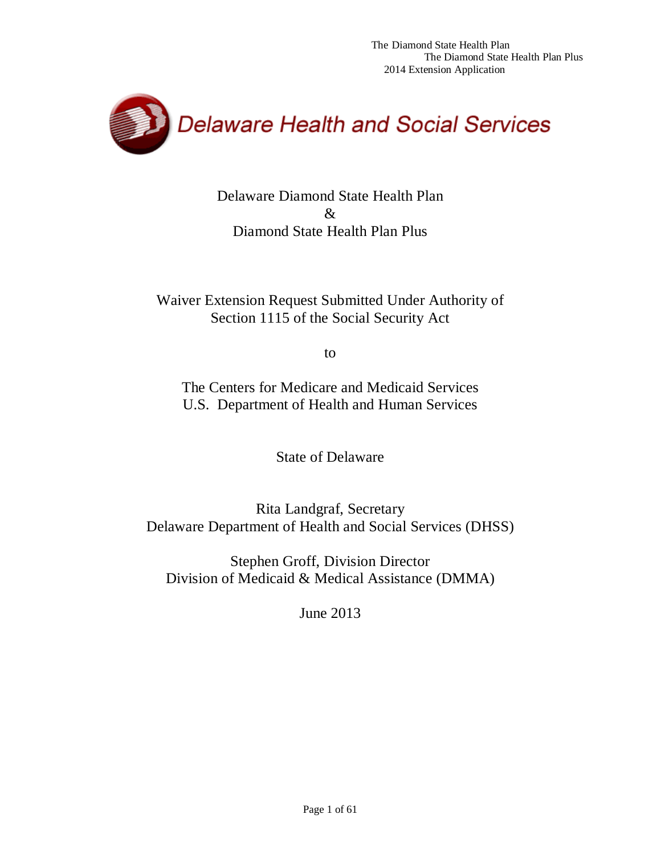

Delaware Diamond State Health Plan & Diamond State Health Plan Plus

Waiver Extension Request Submitted Under Authority of Section 1115 of the Social Security Act

to

The Centers for Medicare and Medicaid Services U.S. Department of Health and Human Services

State of Delaware

Rita Landgraf, Secretary Delaware Department of Health and Social Services (DHSS)

Stephen Groff, Division Director Division of Medicaid & Medical Assistance (DMMA)

June 2013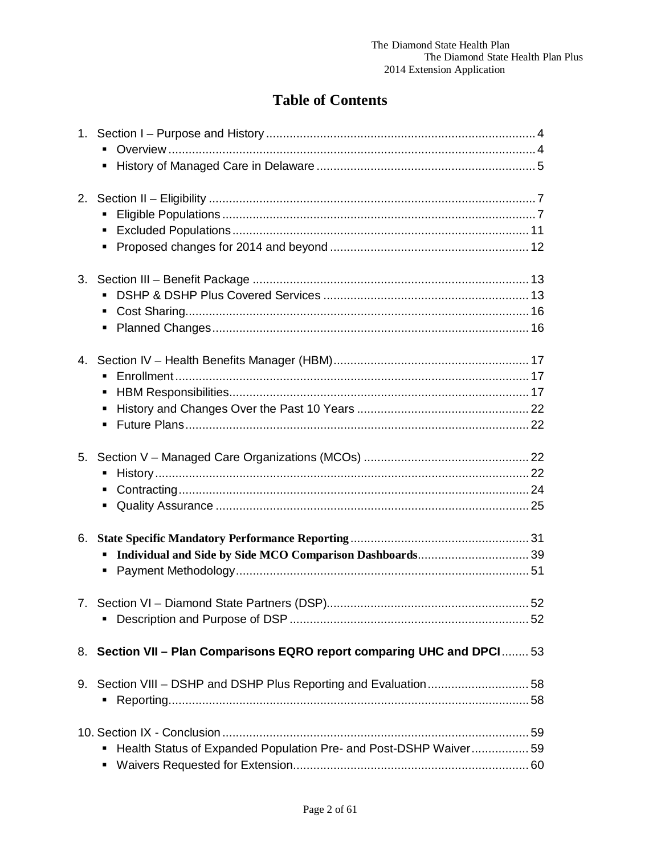# **Table of Contents**

| ٠                                                                       |    |
|-------------------------------------------------------------------------|----|
| $\blacksquare$                                                          |    |
|                                                                         |    |
|                                                                         |    |
|                                                                         | 52 |
| 8. Section VII - Plan Comparisons EQRO report comparing UHC and DPCI 53 |    |
|                                                                         |    |
| Health Status of Expanded Population Pre- and Post-DSHP Waiver59        |    |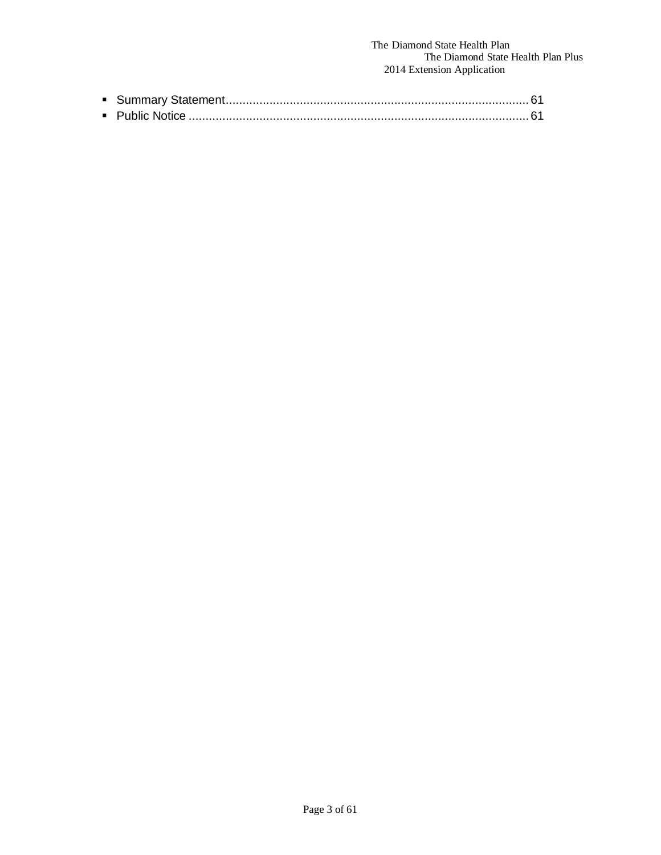### The Diamond State Health Plan The Diamond State Health Plan Plus 2014 Extension Application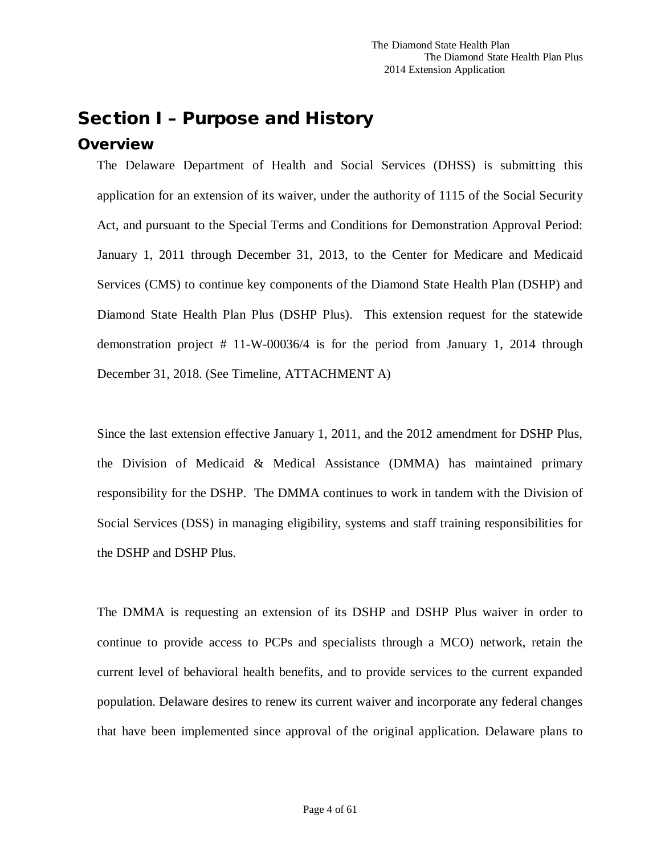# <span id="page-3-0"></span>Section I – Purpose and History

## <span id="page-3-1"></span>**Overview**

The Delaware Department of Health and Social Services (DHSS) is submitting this application for an extension of its waiver, under the authority of 1115 of the Social Security Act, and pursuant to the Special Terms and Conditions for Demonstration Approval Period: January 1, 2011 through December 31, 2013, to the Center for Medicare and Medicaid Services (CMS) to continue key components of the Diamond State Health Plan (DSHP) and Diamond State Health Plan Plus (DSHP Plus). This extension request for the statewide demonstration project # 11-W-00036/4 is for the period from January 1, 2014 through December 31, 2018. (See Timeline, ATTACHMENT A)

Since the last extension effective January 1, 2011, and the 2012 amendment for DSHP Plus, the Division of Medicaid & Medical Assistance (DMMA) has maintained primary responsibility for the DSHP. The DMMA continues to work in tandem with the Division of Social Services (DSS) in managing eligibility, systems and staff training responsibilities for the DSHP and DSHP Plus.

The DMMA is requesting an extension of its DSHP and DSHP Plus waiver in order to continue to provide access to PCPs and specialists through a MCO) network, retain the current level of behavioral health benefits, and to provide services to the current expanded population. Delaware desires to renew its current waiver and incorporate any federal changes that have been implemented since approval of the original application. Delaware plans to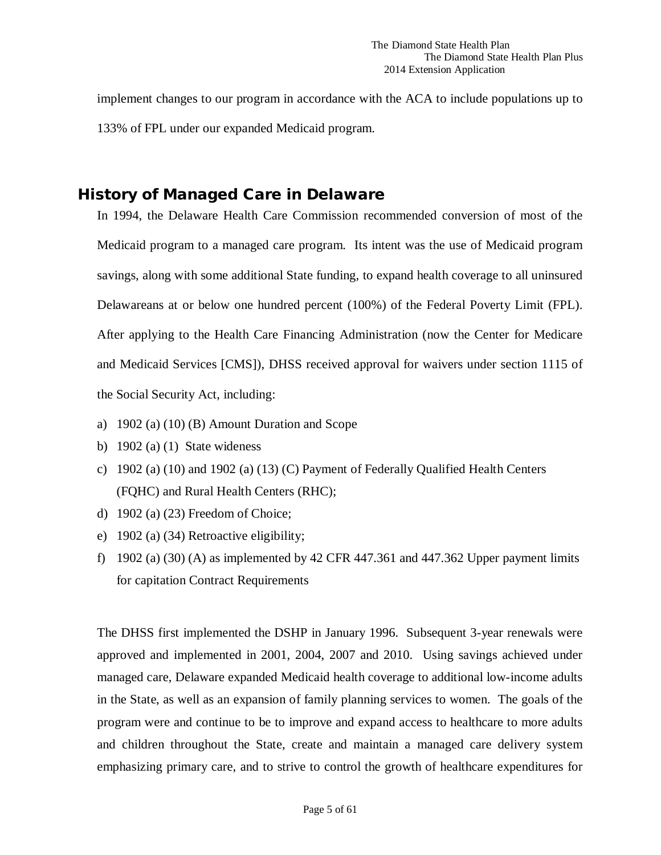implement changes to our program in accordance with the ACA to include populations up to 133% of FPL under our expanded Medicaid program.

# <span id="page-4-0"></span>History of Managed Care in Delaware

In 1994, the Delaware Health Care Commission recommended conversion of most of the Medicaid program to a managed care program. Its intent was the use of Medicaid program savings, along with some additional State funding, to expand health coverage to all uninsured Delawareans at or below one hundred percent (100%) of the Federal Poverty Limit (FPL). After applying to the Health Care Financing Administration (now the Center for Medicare and Medicaid Services [CMS]), DHSS received approval for waivers under section 1115 of the Social Security Act, including:

- a) 1902 (a) (10) (B) Amount Duration and Scope
- b)  $1902$  (a) (1) State wideness
- c) 1902 (a) (10) and 1902 (a) (13) (C) Payment of Federally Qualified Health Centers (FQHC) and Rural Health Centers (RHC);
- d) 1902 (a) (23) Freedom of Choice;
- e) 1902 (a) (34) Retroactive eligibility;
- f) 1902 (a)  $(30)$  (A) as implemented by 42 CFR 447.361 and 447.362 Upper payment limits for capitation Contract Requirements

The DHSS first implemented the DSHP in January 1996. Subsequent 3-year renewals were approved and implemented in 2001, 2004, 2007 and 2010. Using savings achieved under managed care, Delaware expanded Medicaid health coverage to additional low-income adults in the State, as well as an expansion of family planning services to women. The goals of the program were and continue to be to improve and expand access to healthcare to more adults and children throughout the State, create and maintain a managed care delivery system emphasizing primary care, and to strive to control the growth of healthcare expenditures for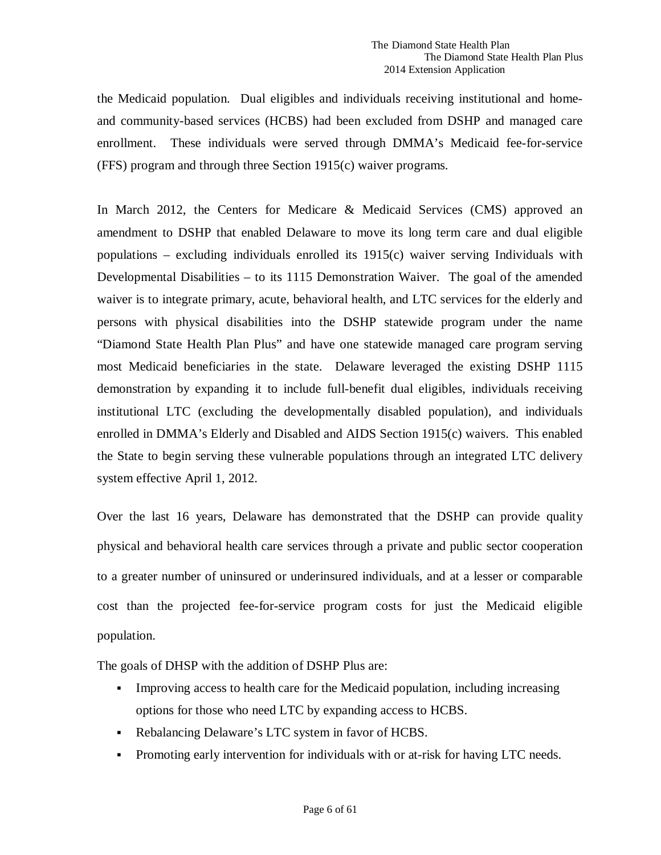the Medicaid population. Dual eligibles and individuals receiving institutional and homeand community-based services (HCBS) had been excluded from DSHP and managed care enrollment. These individuals were served through DMMA's Medicaid fee-for-service (FFS) program and through three Section 1915(c) waiver programs.

In March 2012, the Centers for Medicare & Medicaid Services (CMS) approved an amendment to DSHP that enabled Delaware to move its long term care and dual eligible populations – excluding individuals enrolled its 1915(c) waiver serving Individuals with Developmental Disabilities – to its 1115 Demonstration Waiver. The goal of the amended waiver is to integrate primary, acute, behavioral health, and LTC services for the elderly and persons with physical disabilities into the DSHP statewide program under the name "Diamond State Health Plan Plus" and have one statewide managed care program serving most Medicaid beneficiaries in the state. Delaware leveraged the existing DSHP 1115 demonstration by expanding it to include full-benefit dual eligibles, individuals receiving institutional LTC (excluding the developmentally disabled population), and individuals enrolled in DMMA's Elderly and Disabled and AIDS Section 1915(c) waivers. This enabled the State to begin serving these vulnerable populations through an integrated LTC delivery system effective April 1, 2012.

Over the last 16 years, Delaware has demonstrated that the DSHP can provide quality physical and behavioral health care services through a private and public sector cooperation to a greater number of uninsured or underinsured individuals, and at a lesser or comparable cost than the projected fee-for-service program costs for just the Medicaid eligible population.

The goals of DHSP with the addition of DSHP Plus are:

- Improving access to health care for the Medicaid population, including increasing options for those who need LTC by expanding access to HCBS.
- Rebalancing Delaware's LTC system in favor of HCBS.
- Promoting early intervention for individuals with or at-risk for having LTC needs.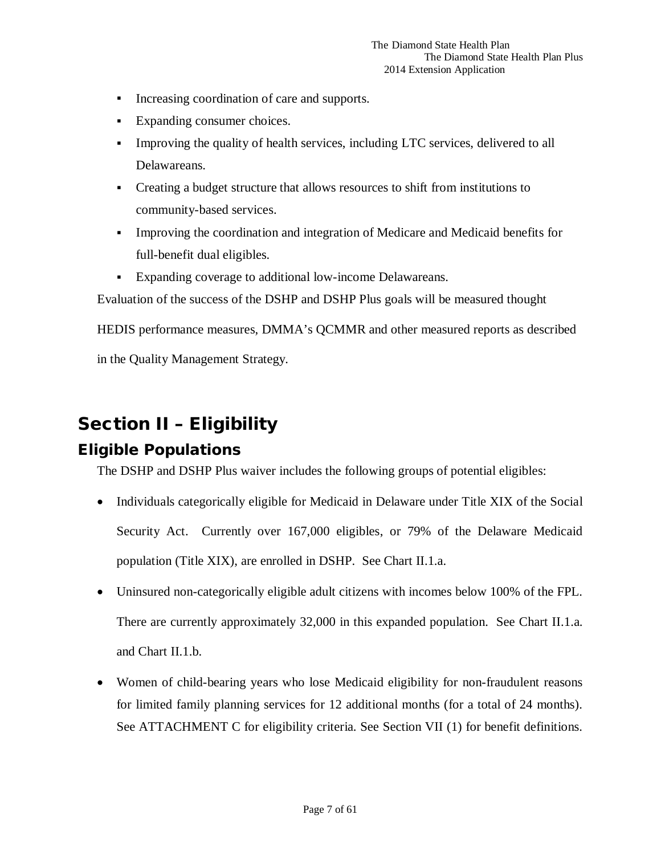- Increasing coordination of care and supports.
- Expanding consumer choices.
- Improving the quality of health services, including LTC services, delivered to all Delawareans.
- Creating a budget structure that allows resources to shift from institutions to community-based services.
- Improving the coordination and integration of Medicare and Medicaid benefits for full-benefit dual eligibles.
- Expanding coverage to additional low-income Delawareans.

Evaluation of the success of the DSHP and DSHP Plus goals will be measured thought

HEDIS performance measures, DMMA's QCMMR and other measured reports as described in the Quality Management Strategy.

# <span id="page-6-0"></span>Section II – Eligibility

# <span id="page-6-1"></span>Eligible Populations

The DSHP and DSHP Plus waiver includes the following groups of potential eligibles:

- Individuals categorically eligible for Medicaid in Delaware under Title XIX of the Social Security Act. Currently over 167,000 eligibles, or 79% of the Delaware Medicaid population (Title XIX), are enrolled in DSHP. See Chart II.1.a.
- Uninsured non-categorically eligible adult citizens with incomes below 100% of the FPL. There are currently approximately 32,000 in this expanded population. See Chart II.1.a. and Chart II.1.b.
- Women of child-bearing years who lose Medicaid eligibility for non-fraudulent reasons for limited family planning services for 12 additional months (for a total of 24 months). See ATTACHMENT C for eligibility criteria. See Section VII (1) for benefit definitions.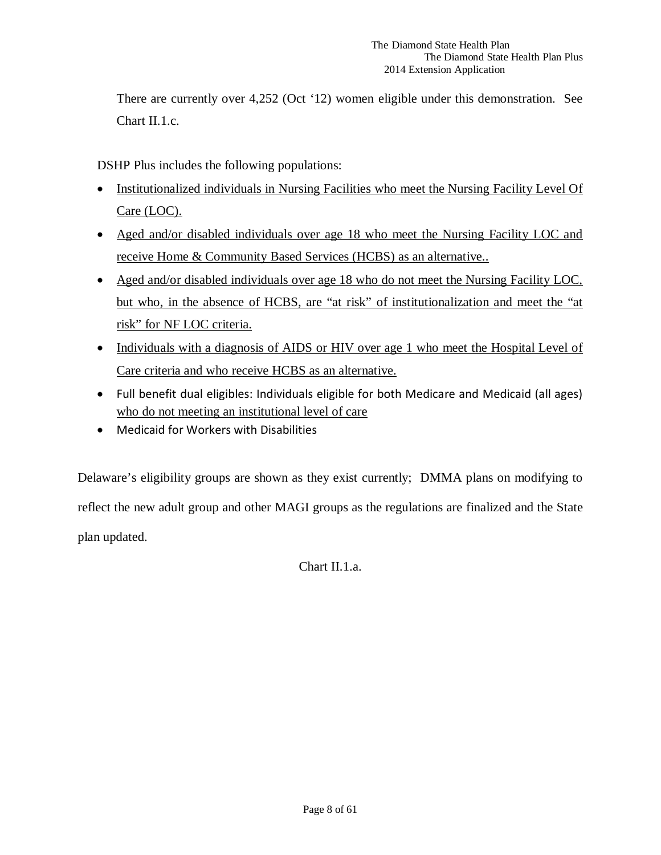There are currently over 4,252 (Oct '12) women eligible under this demonstration. See Chart II.1.c.

DSHP Plus includes the following populations:

- Institutionalized individuals in Nursing Facilities who meet the Nursing Facility Level Of Care (LOC).
- Aged and/or disabled individuals over age 18 who meet the Nursing Facility LOC and receive Home & Community Based Services (HCBS) as an alternative..
- Aged and/or disabled individuals over age 18 who do not meet the Nursing Facility LOC, but who, in the absence of HCBS, are "at risk" of institutionalization and meet the "at risk" for NF LOC criteria.
- Individuals with a diagnosis of AIDS or HIV over age 1 who meet the Hospital Level of Care criteria and who receive HCBS as an alternative.
- Full benefit dual eligibles: Individuals eligible for both Medicare and Medicaid (all ages) who do not meeting an institutional level of care
- Medicaid for Workers with Disabilities

Delaware's eligibility groups are shown as they exist currently; DMMA plans on modifying to reflect the new adult group and other MAGI groups as the regulations are finalized and the State plan updated.

Chart II.1.a.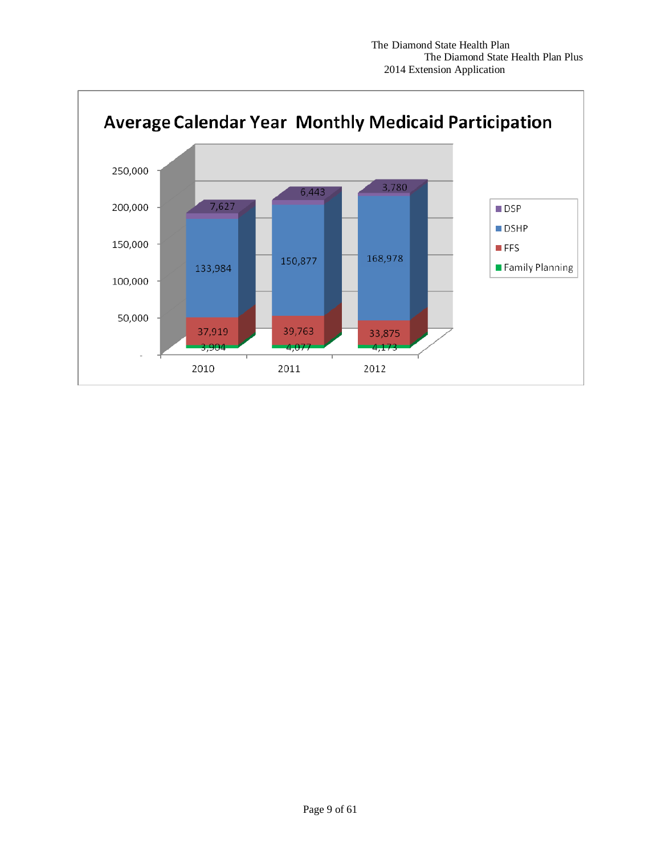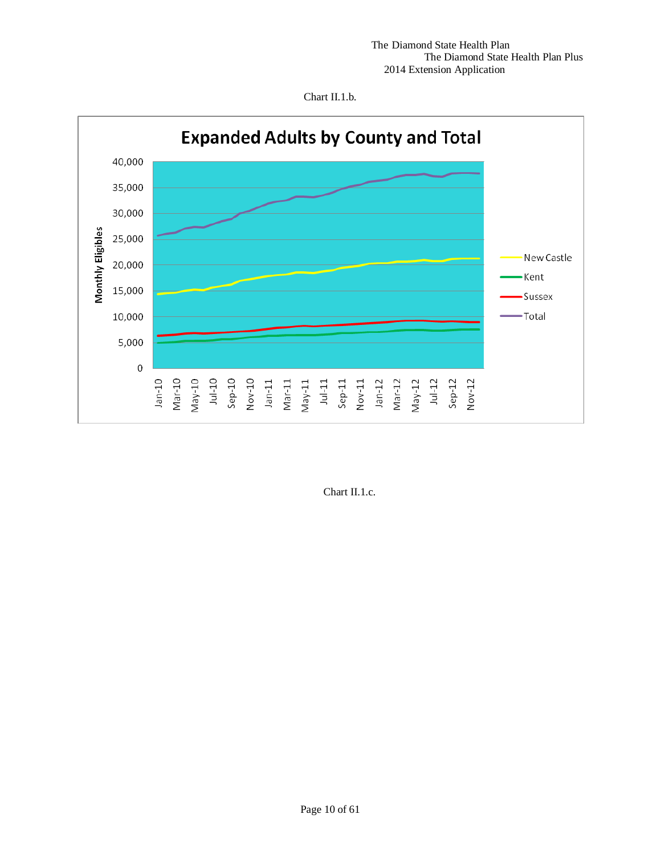



Chart II.1.c.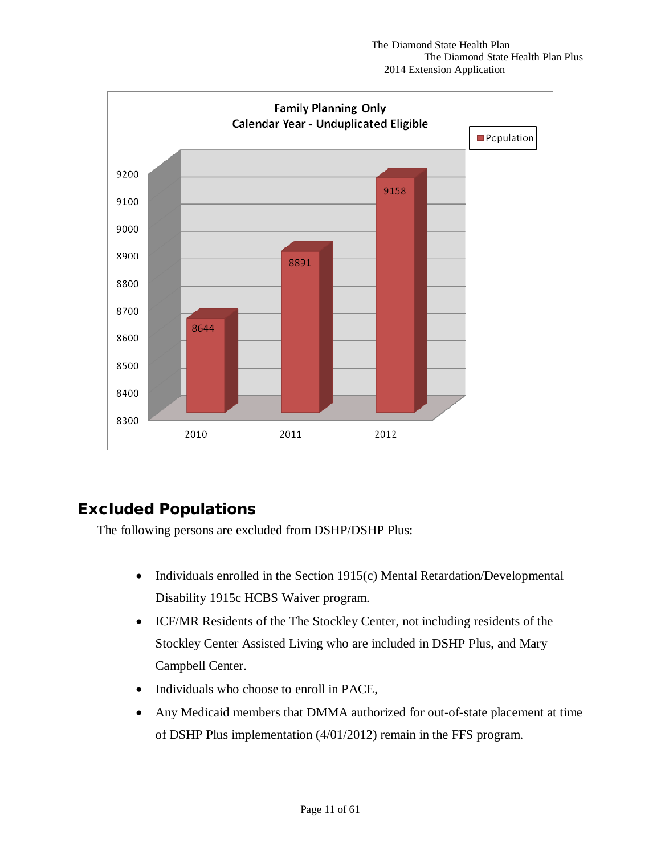

# <span id="page-10-0"></span>Excluded Populations

The following persons are excluded from DSHP/DSHP Plus:

- Individuals enrolled in the Section 1915(c) Mental Retardation/Developmental Disability 1915c HCBS Waiver program.
- ICF/MR Residents of the The Stockley Center, not including residents of the Stockley Center Assisted Living who are included in DSHP Plus, and Mary Campbell Center.
- Individuals who choose to enroll in PACE,
- Any Medicaid members that DMMA authorized for out-of-state placement at time of DSHP Plus implementation (4/01/2012) remain in the FFS program.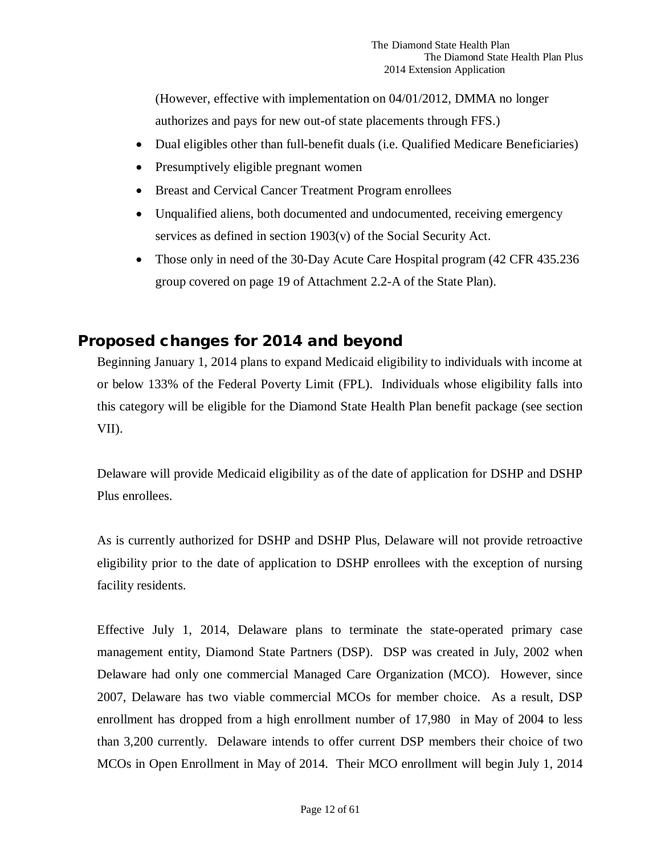(However, effective with implementation on 04/01/2012, DMMA no longer authorizes and pays for new out-of state placements through FFS.)

- Dual eligibles other than full-benefit duals (i.e. Qualified Medicare Beneficiaries)
- Presumptively eligible pregnant women
- Breast and Cervical Cancer Treatment Program enrollees
- Unqualified aliens, both documented and undocumented, receiving emergency services as defined in section 1903(v) of the Social Security Act.
- Those only in need of the 30-Day Acute Care Hospital program (42 CFR 435.236) group covered on page 19 of Attachment 2.2-A of the State Plan).

# <span id="page-11-0"></span>Proposed changes for 2014 and beyond

Beginning January 1, 2014 plans to expand Medicaid eligibility to individuals with income at or below 133% of the Federal Poverty Limit (FPL). Individuals whose eligibility falls into this category will be eligible for the Diamond State Health Plan benefit package (see section VII).

Delaware will provide Medicaid eligibility as of the date of application for DSHP and DSHP Plus enrollees.

As is currently authorized for DSHP and DSHP Plus, Delaware will not provide retroactive eligibility prior to the date of application to DSHP enrollees with the exception of nursing facility residents.

Effective July 1, 2014, Delaware plans to terminate the state-operated primary case management entity, Diamond State Partners (DSP). DSP was created in July, 2002 when Delaware had only one commercial Managed Care Organization (MCO). However, since 2007, Delaware has two viable commercial MCOs for member choice. As a result, DSP enrollment has dropped from a high enrollment number of 17,980 in May of 2004 to less than 3,200 currently. Delaware intends to offer current DSP members their choice of two MCOs in Open Enrollment in May of 2014. Their MCO enrollment will begin July 1, 2014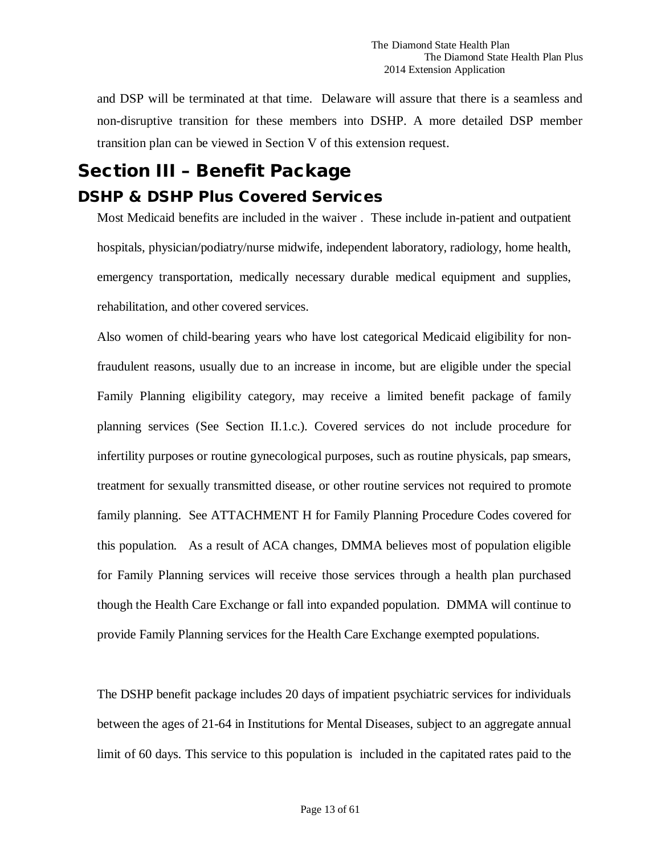and DSP will be terminated at that time. Delaware will assure that there is a seamless and non-disruptive transition for these members into DSHP. A more detailed DSP member transition plan can be viewed in Section V of this extension request.

# <span id="page-12-0"></span>Section III – Benefit Package

# <span id="page-12-1"></span>DSHP & DSHP Plus Covered Services

Most Medicaid benefits are included in the waiver . These include in-patient and outpatient hospitals, physician/podiatry/nurse midwife, independent laboratory, radiology, home health, emergency transportation, medically necessary durable medical equipment and supplies, rehabilitation, and other covered services.

Also women of child-bearing years who have lost categorical Medicaid eligibility for nonfraudulent reasons, usually due to an increase in income, but are eligible under the special Family Planning eligibility category, may receive a limited benefit package of family planning services (See Section II.1.c.). Covered services do not include procedure for infertility purposes or routine gynecological purposes, such as routine physicals, pap smears, treatment for sexually transmitted disease, or other routine services not required to promote family planning. See ATTACHMENT H for Family Planning Procedure Codes covered for this population. As a result of ACA changes, DMMA believes most of population eligible for Family Planning services will receive those services through a health plan purchased though the Health Care Exchange or fall into expanded population. DMMA will continue to provide Family Planning services for the Health Care Exchange exempted populations.

The DSHP benefit package includes 20 days of impatient psychiatric services for individuals between the ages of 21-64 in Institutions for Mental Diseases, subject to an aggregate annual limit of 60 days. This service to this population is included in the capitated rates paid to the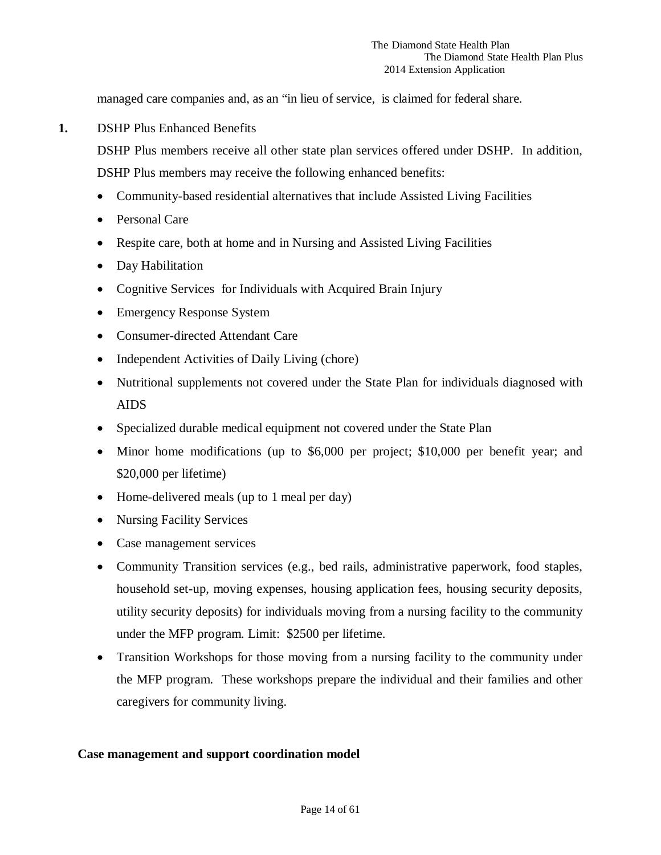managed care companies and, as an "in lieu of service, is claimed for federal share.

**1.** DSHP Plus Enhanced Benefits

DSHP Plus members receive all other state plan services offered under DSHP. In addition, DSHP Plus members may receive the following enhanced benefits:

- Community-based residential alternatives that include Assisted Living Facilities
- Personal Care
- Respite care, both at home and in Nursing and Assisted Living Facilities
- Day Habilitation
- Cognitive Services for Individuals with Acquired Brain Injury
- Emergency Response System
- Consumer-directed Attendant Care
- Independent Activities of Daily Living (chore)
- Nutritional supplements not covered under the State Plan for individuals diagnosed with AIDS
- Specialized durable medical equipment not covered under the State Plan
- Minor home modifications (up to \$6,000 per project; \$10,000 per benefit year; and \$20,000 per lifetime)
- Home-delivered meals (up to 1 meal per day)
- Nursing Facility Services
- Case management services
- Community Transition services (e.g., bed rails, administrative paperwork, food staples, household set-up, moving expenses, housing application fees, housing security deposits, utility security deposits) for individuals moving from a nursing facility to the community under the MFP program. Limit: \$2500 per lifetime.
- Transition Workshops for those moving from a nursing facility to the community under the MFP program. These workshops prepare the individual and their families and other caregivers for community living.

### **Case management and support coordination model**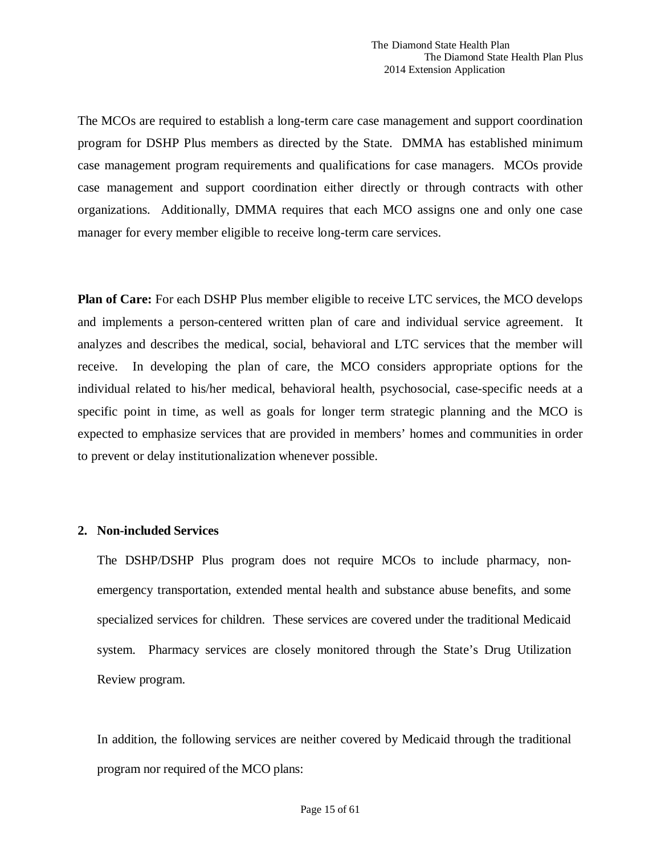The MCOs are required to establish a long-term care case management and support coordination program for DSHP Plus members as directed by the State. DMMA has established minimum case management program requirements and qualifications for case managers. MCOs provide case management and support coordination either directly or through contracts with other organizations. Additionally, DMMA requires that each MCO assigns one and only one case manager for every member eligible to receive long-term care services.

**Plan of Care:** For each DSHP Plus member eligible to receive LTC services, the MCO develops and implements a person-centered written plan of care and individual service agreement. It analyzes and describes the medical, social, behavioral and LTC services that the member will receive. In developing the plan of care, the MCO considers appropriate options for the individual related to his/her medical, behavioral health, psychosocial, case-specific needs at a specific point in time, as well as goals for longer term strategic planning and the MCO is expected to emphasize services that are provided in members' homes and communities in order to prevent or delay institutionalization whenever possible.

### **2. Non-included Services**

The DSHP/DSHP Plus program does not require MCOs to include pharmacy, nonemergency transportation, extended mental health and substance abuse benefits, and some specialized services for children. These services are covered under the traditional Medicaid system. Pharmacy services are closely monitored through the State's Drug Utilization Review program.

In addition, the following services are neither covered by Medicaid through the traditional program nor required of the MCO plans: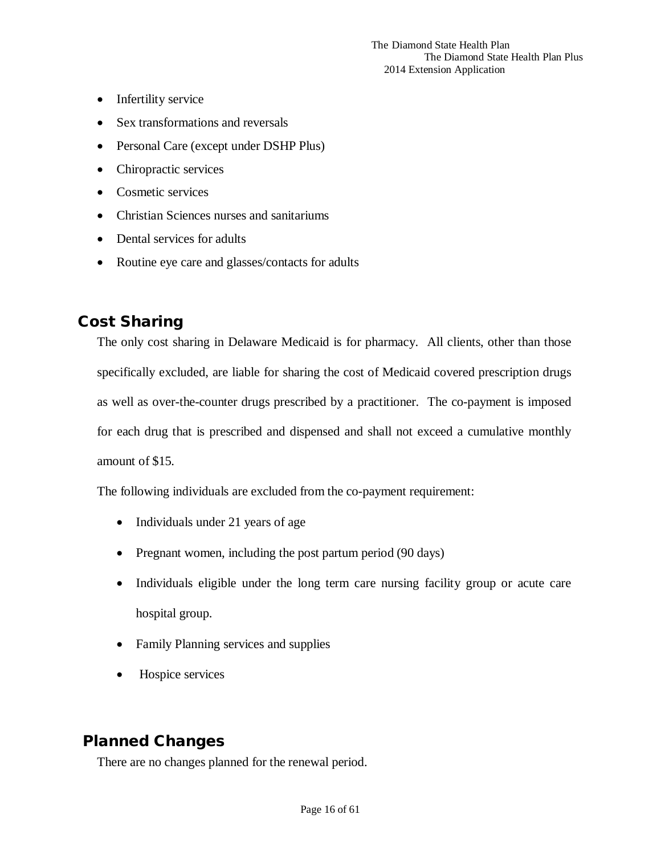- Infertility service
- Sex transformations and reversals
- Personal Care (except under DSHP Plus)
- Chiropractic services
- Cosmetic services
- Christian Sciences nurses and sanitariums
- Dental services for adults
- Routine eye care and glasses/contacts for adults

# <span id="page-15-0"></span>Cost Sharing

The only cost sharing in Delaware Medicaid is for pharmacy. All clients, other than those specifically excluded, are liable for sharing the cost of Medicaid covered prescription drugs as well as over-the-counter drugs prescribed by a practitioner. The co-payment is imposed for each drug that is prescribed and dispensed and shall not exceed a cumulative monthly amount of \$15.

The following individuals are excluded from the co-payment requirement:

- Individuals under 21 years of age
- Pregnant women, including the post partum period (90 days)
- Individuals eligible under the long term care nursing facility group or acute care hospital group.
- Family Planning services and supplies
- Hospice services

# <span id="page-15-1"></span>Planned Changes

There are no changes planned for the renewal period.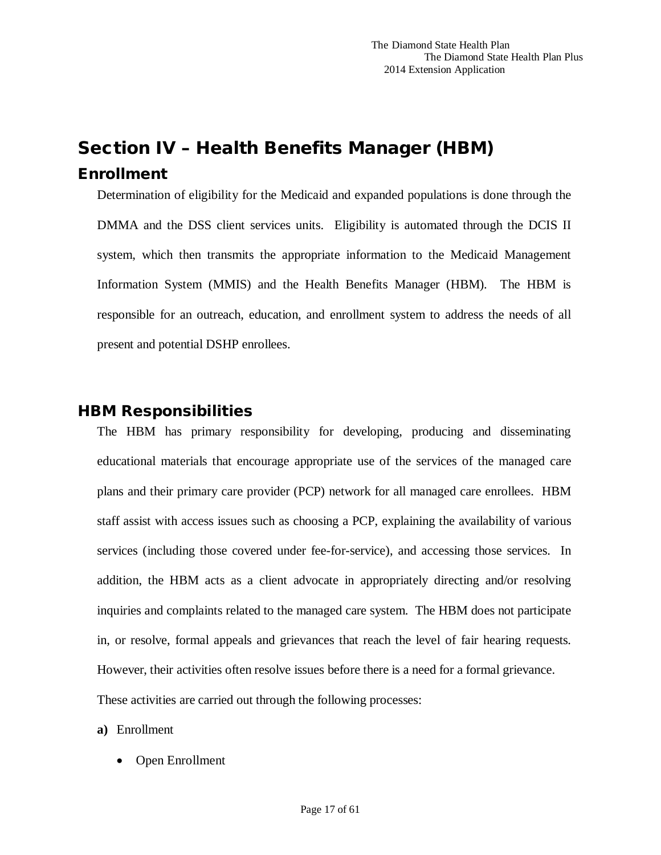# <span id="page-16-1"></span><span id="page-16-0"></span>Section IV – Health Benefits Manager (HBM) Enrollment

Determination of eligibility for the Medicaid and expanded populations is done through the DMMA and the DSS client services units. Eligibility is automated through the DCIS II system, which then transmits the appropriate information to the Medicaid Management Information System (MMIS) and the Health Benefits Manager (HBM). The HBM is responsible for an outreach, education, and enrollment system to address the needs of all present and potential DSHP enrollees.

# <span id="page-16-2"></span>HBM Responsibilities

The HBM has primary responsibility for developing, producing and disseminating educational materials that encourage appropriate use of the services of the managed care plans and their primary care provider (PCP) network for all managed care enrollees. HBM staff assist with access issues such as choosing a PCP, explaining the availability of various services (including those covered under fee-for-service), and accessing those services. In addition, the HBM acts as a client advocate in appropriately directing and/or resolving inquiries and complaints related to the managed care system. The HBM does not participate in, or resolve, formal appeals and grievances that reach the level of fair hearing requests. However, their activities often resolve issues before there is a need for a formal grievance. These activities are carried out through the following processes:

**a)** Enrollment

• Open Enrollment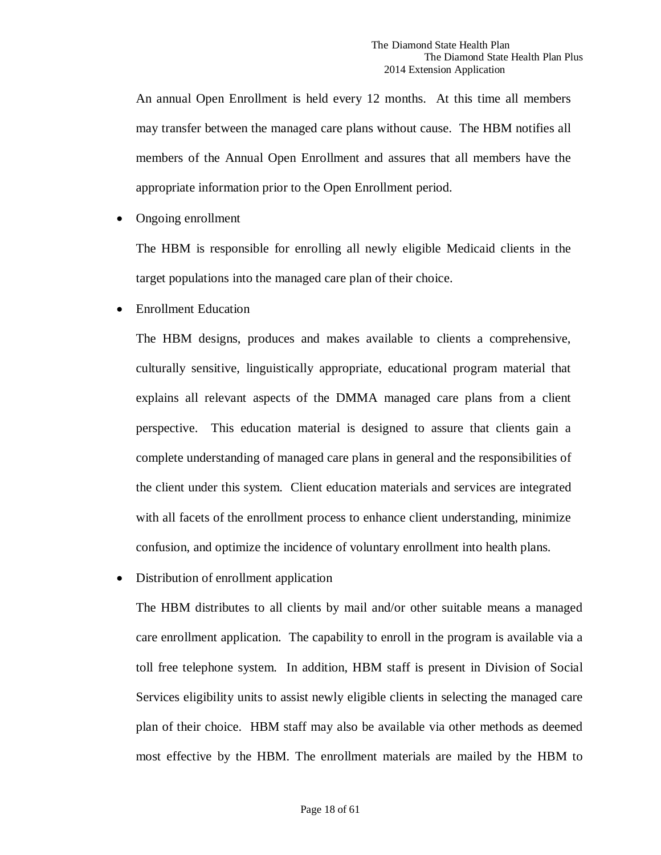An annual Open Enrollment is held every 12 months. At this time all members may transfer between the managed care plans without cause. The HBM notifies all members of the Annual Open Enrollment and assures that all members have the appropriate information prior to the Open Enrollment period.

• Ongoing enrollment

The HBM is responsible for enrolling all newly eligible Medicaid clients in the target populations into the managed care plan of their choice.

• Enrollment Education

The HBM designs, produces and makes available to clients a comprehensive, culturally sensitive, linguistically appropriate, educational program material that explains all relevant aspects of the DMMA managed care plans from a client perspective. This education material is designed to assure that clients gain a complete understanding of managed care plans in general and the responsibilities of the client under this system. Client education materials and services are integrated with all facets of the enrollment process to enhance client understanding, minimize confusion, and optimize the incidence of voluntary enrollment into health plans.

• Distribution of enrollment application

The HBM distributes to all clients by mail and/or other suitable means a managed care enrollment application. The capability to enroll in the program is available via a toll free telephone system. In addition, HBM staff is present in Division of Social Services eligibility units to assist newly eligible clients in selecting the managed care plan of their choice. HBM staff may also be available via other methods as deemed most effective by the HBM. The enrollment materials are mailed by the HBM to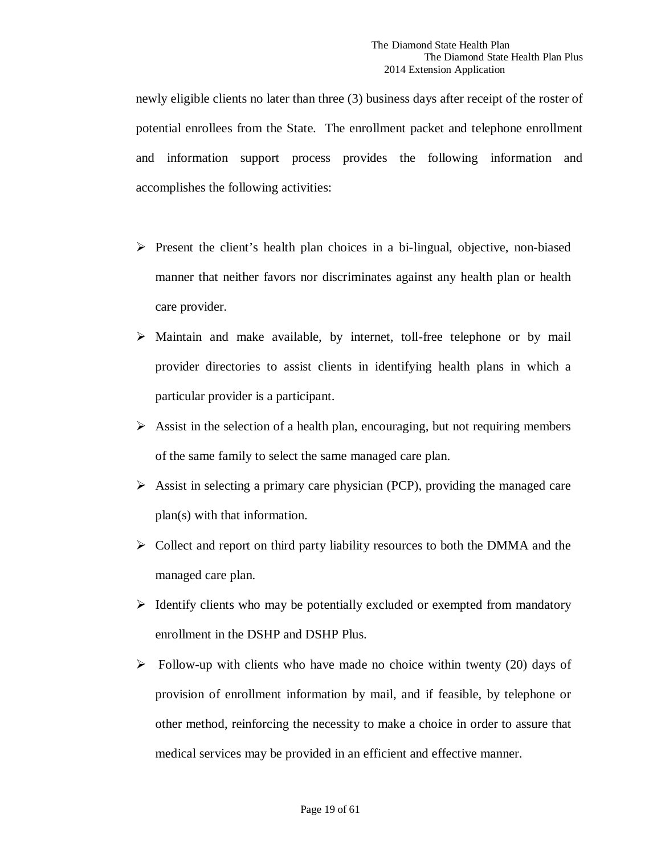newly eligible clients no later than three (3) business days after receipt of the roster of potential enrollees from the State. The enrollment packet and telephone enrollment and information support process provides the following information and accomplishes the following activities:

- $\triangleright$  Present the client's health plan choices in a bi-lingual, objective, non-biased manner that neither favors nor discriminates against any health plan or health care provider.
- $\triangleright$  Maintain and make available, by internet, toll-free telephone or by mail provider directories to assist clients in identifying health plans in which a particular provider is a participant.
- $\triangleright$  Assist in the selection of a health plan, encouraging, but not requiring members of the same family to select the same managed care plan.
- $\triangleright$  Assist in selecting a primary care physician (PCP), providing the managed care plan(s) with that information.
- $\triangleright$  Collect and report on third party liability resources to both the DMMA and the managed care plan.
- $\triangleright$  Identify clients who may be potentially excluded or exempted from mandatory enrollment in the DSHP and DSHP Plus.
- $\triangleright$  Follow-up with clients who have made no choice within twenty (20) days of provision of enrollment information by mail, and if feasible, by telephone or other method, reinforcing the necessity to make a choice in order to assure that medical services may be provided in an efficient and effective manner.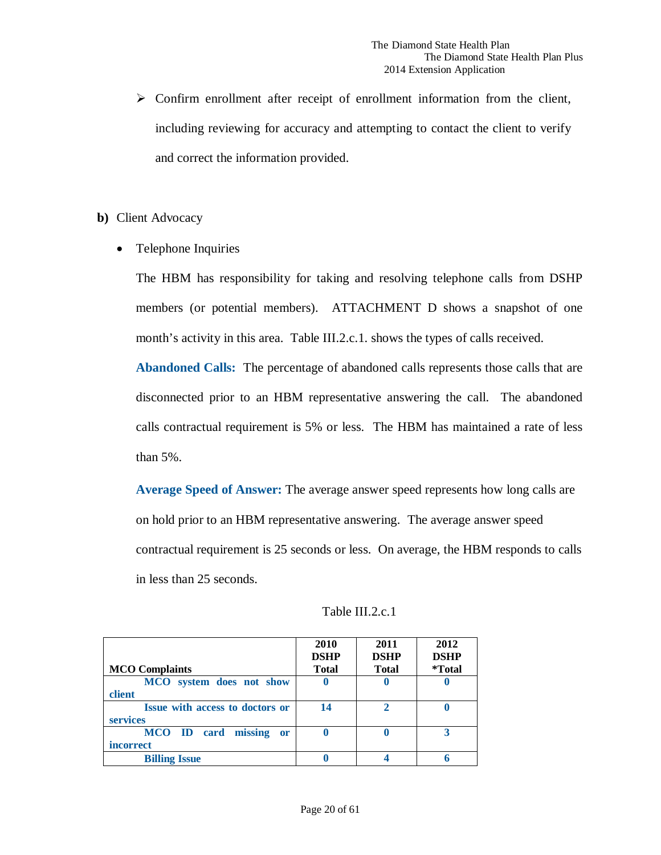- $\triangleright$  Confirm enrollment after receipt of enrollment information from the client, including reviewing for accuracy and attempting to contact the client to verify and correct the information provided.
- **b)** Client Advocacy
	- Telephone Inquiries

The HBM has responsibility for taking and resolving telephone calls from DSHP members (or potential members). ATTACHMENT D shows a snapshot of one month's activity in this area. Table III.2.c.1. shows the types of calls received.

**Abandoned Calls:** The percentage of abandoned calls represents those calls that are disconnected prior to an HBM representative answering the call. The abandoned calls contractual requirement is 5% or less. The HBM has maintained a rate of less than 5%.

**Average Speed of Answer:** The average answer speed represents how long calls are on hold prior to an HBM representative answering. The average answer speed contractual requirement is 25 seconds or less. On average, the HBM responds to calls in less than 25 seconds.

| <b>MCO</b> Complaints                                     | 2010<br><b>DSHP</b><br><b>Total</b> | 2011<br><b>DSHP</b><br><b>Total</b> | 2012<br><b>DSHP</b><br><i>*Total</i> |
|-----------------------------------------------------------|-------------------------------------|-------------------------------------|--------------------------------------|
| MCO system does not show<br>client                        | U                                   | U                                   |                                      |
| <b>Issue with access to doctors or</b><br><b>services</b> | 14                                  | $\mathcal{D}_{\cdot}$               |                                      |
| MCO ID card missing<br><b>or</b><br><i>incorrect</i>      | O                                   | O                                   |                                      |
| <b>Billing Issue</b>                                      |                                     |                                     |                                      |

Table III.2.c.1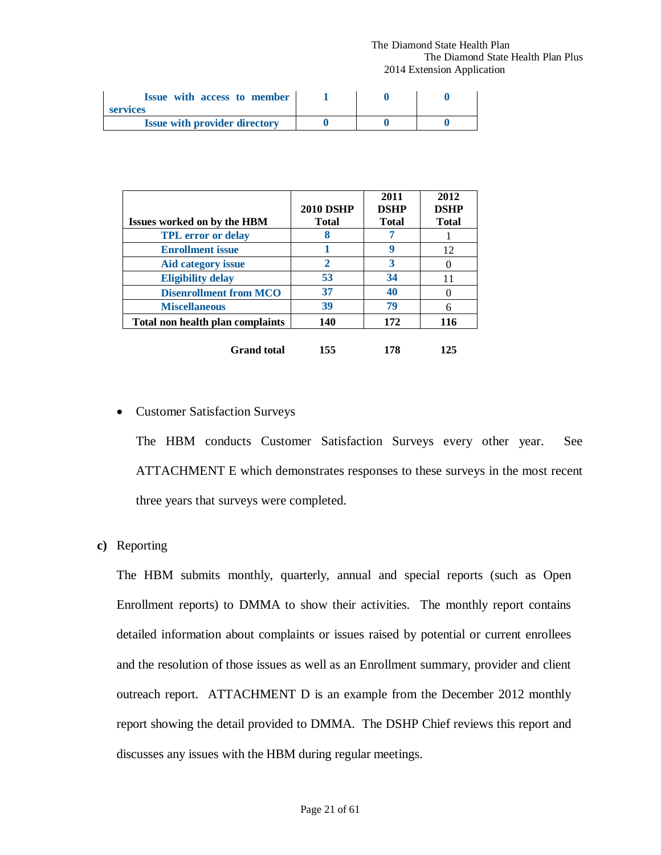#### The Diamond State Health Plan The Diamond State Health Plan Plus 2014 Extension Application

| Issue with access to member<br>services |  |  |
|-----------------------------------------|--|--|
| <b>Issue with provider directory</b>    |  |  |

| <b>Issues worked on by the HBM</b> | <b>2010 DSHP</b><br><b>Total</b> | 2011<br><b>DSHP</b><br><b>Total</b> | 2012<br><b>DSHP</b><br><b>Total</b> |
|------------------------------------|----------------------------------|-------------------------------------|-------------------------------------|
| <b>TPL</b> error or delay          | 8                                |                                     |                                     |
| <b>Enrollment</b> issue            |                                  | 9                                   | 12                                  |
| <b>Aid category issue</b>          | $\overline{2}$                   | 3                                   |                                     |
| <b>Eligibility delay</b>           | 53                               | 34                                  | 11                                  |
| <b>Disenrollment from MCO</b>      | 37                               | 40                                  |                                     |
| <b>Miscellaneous</b>               | 39                               | 79                                  | 6                                   |
| Total non health plan complaints   | 140                              | 172                                 | 116                                 |
| <b>Grand</b> total                 | 155                              | 178                                 | 125                                 |

### • Customer Satisfaction Surveys

The HBM conducts Customer Satisfaction Surveys every other year. See ATTACHMENT E which demonstrates responses to these surveys in the most recent three years that surveys were completed.

### **c)** Reporting

The HBM submits monthly, quarterly, annual and special reports (such as Open Enrollment reports) to DMMA to show their activities. The monthly report contains detailed information about complaints or issues raised by potential or current enrollees and the resolution of those issues as well as an Enrollment summary, provider and client outreach report. ATTACHMENT D is an example from the December 2012 monthly report showing the detail provided to DMMA. The DSHP Chief reviews this report and discusses any issues with the HBM during regular meetings.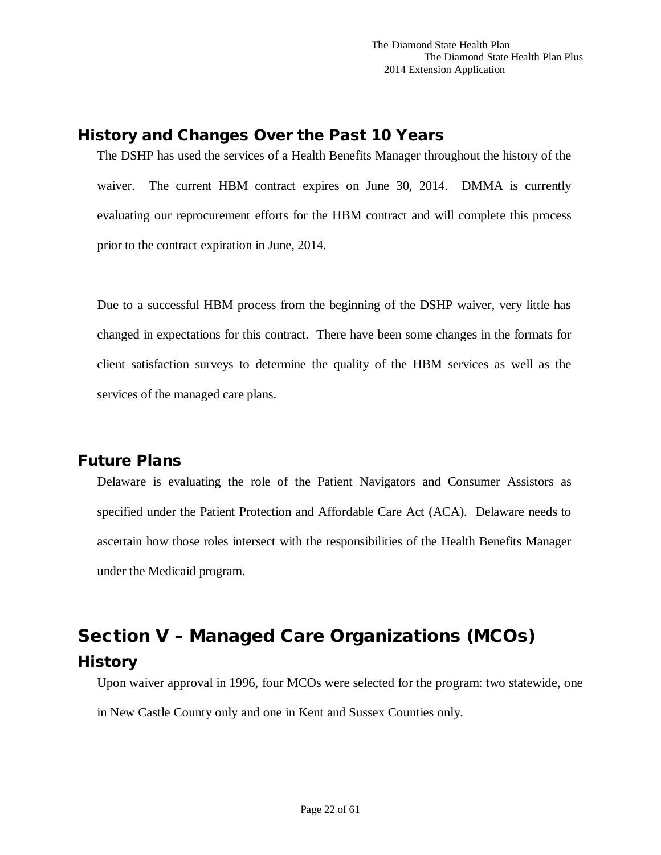# <span id="page-21-0"></span>History and Changes Over the Past 10 Years

The DSHP has used the services of a Health Benefits Manager throughout the history of the waiver. The current HBM contract expires on June 30, 2014. DMMA is currently evaluating our reprocurement efforts for the HBM contract and will complete this process prior to the contract expiration in June, 2014.

Due to a successful HBM process from the beginning of the DSHP waiver, very little has changed in expectations for this contract. There have been some changes in the formats for client satisfaction surveys to determine the quality of the HBM services as well as the services of the managed care plans.

# <span id="page-21-1"></span>Future Plans

Delaware is evaluating the role of the Patient Navigators and Consumer Assistors as specified under the Patient Protection and Affordable Care Act (ACA). Delaware needs to ascertain how those roles intersect with the responsibilities of the Health Benefits Manager under the Medicaid program.

# <span id="page-21-3"></span><span id="page-21-2"></span>Section V – Managed Care Organizations (MCOs) **History**

Upon waiver approval in 1996, four MCOs were selected for the program: two statewide, one in New Castle County only and one in Kent and Sussex Counties only.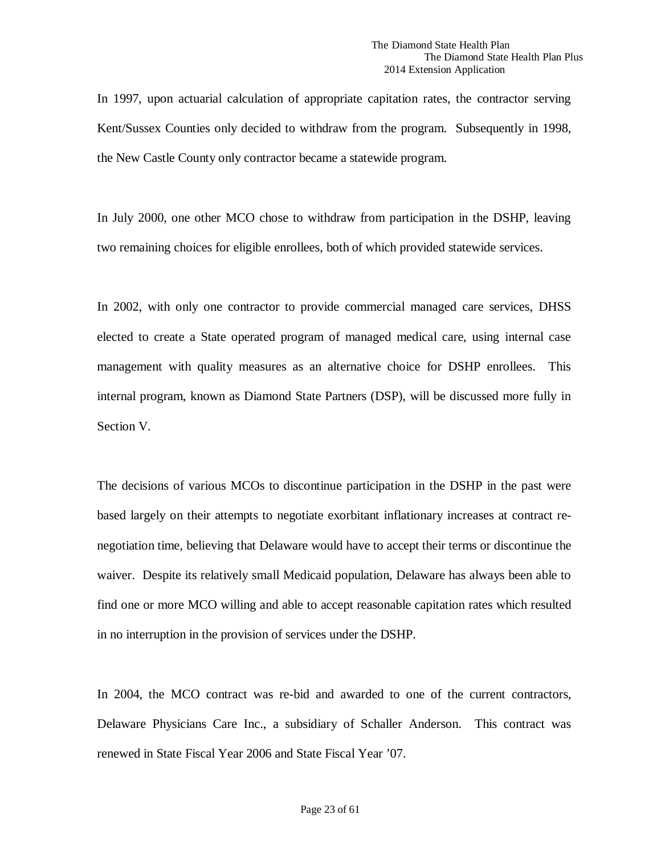In 1997, upon actuarial calculation of appropriate capitation rates, the contractor serving Kent/Sussex Counties only decided to withdraw from the program. Subsequently in 1998, the New Castle County only contractor became a statewide program.

In July 2000, one other MCO chose to withdraw from participation in the DSHP, leaving two remaining choices for eligible enrollees, both of which provided statewide services.

In 2002, with only one contractor to provide commercial managed care services, DHSS elected to create a State operated program of managed medical care, using internal case management with quality measures as an alternative choice for DSHP enrollees. This internal program, known as Diamond State Partners (DSP), will be discussed more fully in Section V.

The decisions of various MCOs to discontinue participation in the DSHP in the past were based largely on their attempts to negotiate exorbitant inflationary increases at contract renegotiation time, believing that Delaware would have to accept their terms or discontinue the waiver. Despite its relatively small Medicaid population, Delaware has always been able to find one or more MCO willing and able to accept reasonable capitation rates which resulted in no interruption in the provision of services under the DSHP.

In 2004, the MCO contract was re-bid and awarded to one of the current contractors, Delaware Physicians Care Inc., a subsidiary of Schaller Anderson. This contract was renewed in State Fiscal Year 2006 and State Fiscal Year '07.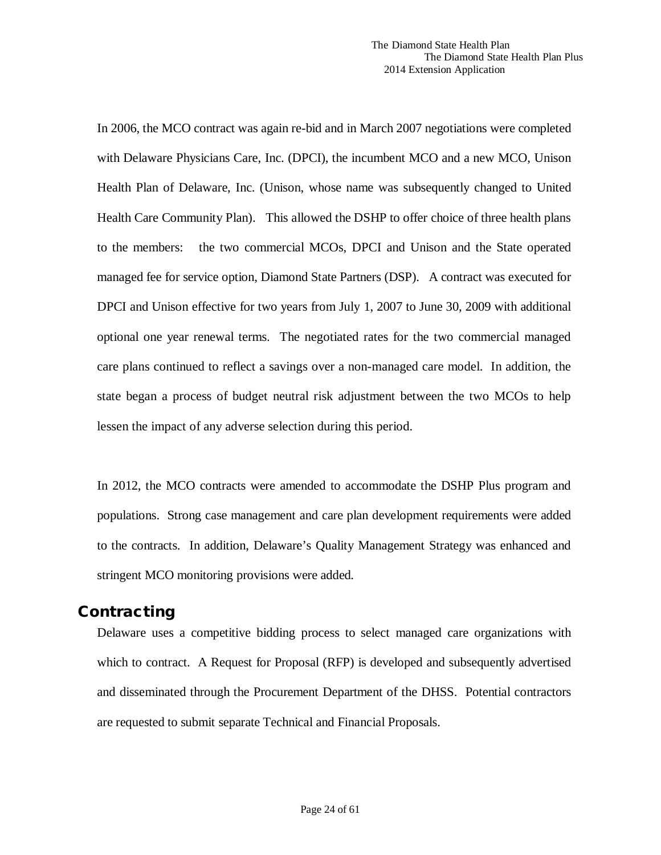In 2006, the MCO contract was again re-bid and in March 2007 negotiations were completed with Delaware Physicians Care, Inc. (DPCI), the incumbent MCO and a new MCO, Unison Health Plan of Delaware, Inc. (Unison, whose name was subsequently changed to United Health Care Community Plan). This allowed the DSHP to offer choice of three health plans to the members: the two commercial MCOs, DPCI and Unison and the State operated managed fee for service option, Diamond State Partners (DSP). A contract was executed for DPCI and Unison effective for two years from July 1, 2007 to June 30, 2009 with additional optional one year renewal terms. The negotiated rates for the two commercial managed care plans continued to reflect a savings over a non-managed care model. In addition, the state began a process of budget neutral risk adjustment between the two MCOs to help lessen the impact of any adverse selection during this period.

In 2012, the MCO contracts were amended to accommodate the DSHP Plus program and populations. Strong case management and care plan development requirements were added to the contracts. In addition, Delaware's Quality Management Strategy was enhanced and stringent MCO monitoring provisions were added.

## <span id="page-23-0"></span>**Contracting**

Delaware uses a competitive bidding process to select managed care organizations with which to contract. A Request for Proposal (RFP) is developed and subsequently advertised and disseminated through the Procurement Department of the DHSS. Potential contractors are requested to submit separate Technical and Financial Proposals.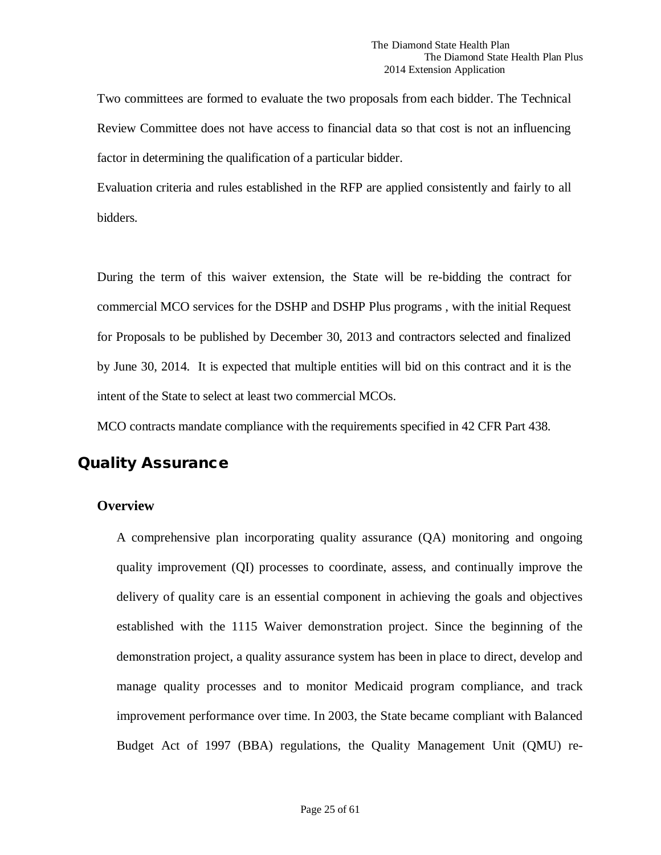Two committees are formed to evaluate the two proposals from each bidder. The Technical Review Committee does not have access to financial data so that cost is not an influencing factor in determining the qualification of a particular bidder.

Evaluation criteria and rules established in the RFP are applied consistently and fairly to all bidders.

During the term of this waiver extension, the State will be re-bidding the contract for commercial MCO services for the DSHP and DSHP Plus programs , with the initial Request for Proposals to be published by December 30, 2013 and contractors selected and finalized by June 30, 2014. It is expected that multiple entities will bid on this contract and it is the intent of the State to select at least two commercial MCOs.

MCO contracts mandate compliance with the requirements specified in 42 CFR Part 438.

## <span id="page-24-0"></span>Quality Assurance

### **Overview**

A comprehensive plan incorporating quality assurance (QA) monitoring and ongoing quality improvement (QI) processes to coordinate, assess, and continually improve the delivery of quality care is an essential component in achieving the goals and objectives established with the 1115 Waiver demonstration project. Since the beginning of the demonstration project, a quality assurance system has been in place to direct, develop and manage quality processes and to monitor Medicaid program compliance, and track improvement performance over time. In 2003, the State became compliant with Balanced Budget Act of 1997 (BBA) regulations, the Quality Management Unit (QMU) re-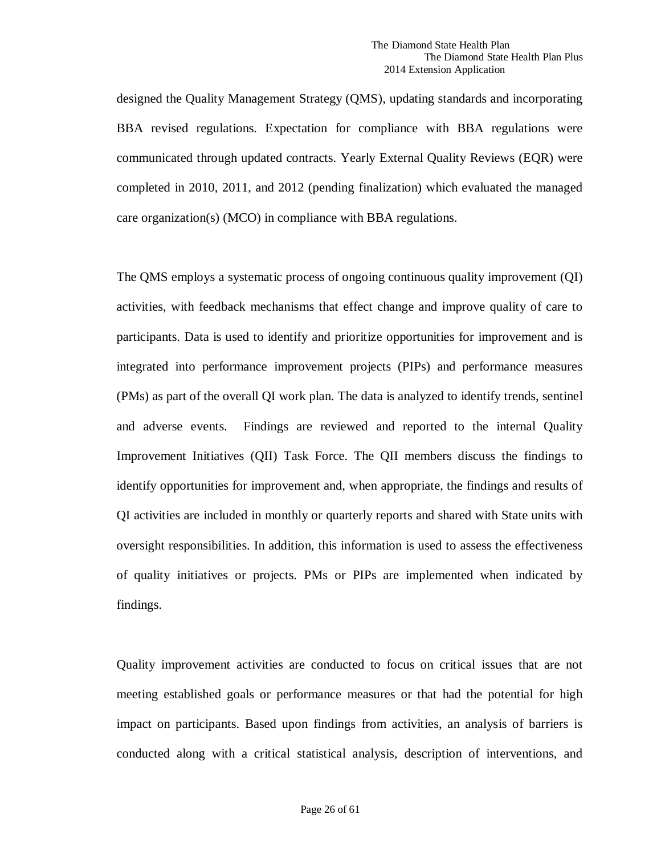designed the Quality Management Strategy (QMS), updating standards and incorporating BBA revised regulations. Expectation for compliance with BBA regulations were communicated through updated contracts. Yearly External Quality Reviews (EQR) were completed in 2010, 2011, and 2012 (pending finalization) which evaluated the managed care organization(s) (MCO) in compliance with BBA regulations.

The QMS employs a systematic process of ongoing continuous quality improvement (QI) activities, with feedback mechanisms that effect change and improve quality of care to participants. Data is used to identify and prioritize opportunities for improvement and is integrated into performance improvement projects (PIPs) and performance measures (PMs) as part of the overall QI work plan. The data is analyzed to identify trends, sentinel and adverse events. Findings are reviewed and reported to the internal Quality Improvement Initiatives (QII) Task Force. The QII members discuss the findings to identify opportunities for improvement and, when appropriate, the findings and results of QI activities are included in monthly or quarterly reports and shared with State units with oversight responsibilities. In addition, this information is used to assess the effectiveness of quality initiatives or projects. PMs or PIPs are implemented when indicated by findings.

Quality improvement activities are conducted to focus on critical issues that are not meeting established goals or performance measures or that had the potential for high impact on participants. Based upon findings from activities, an analysis of barriers is conducted along with a critical statistical analysis, description of interventions, and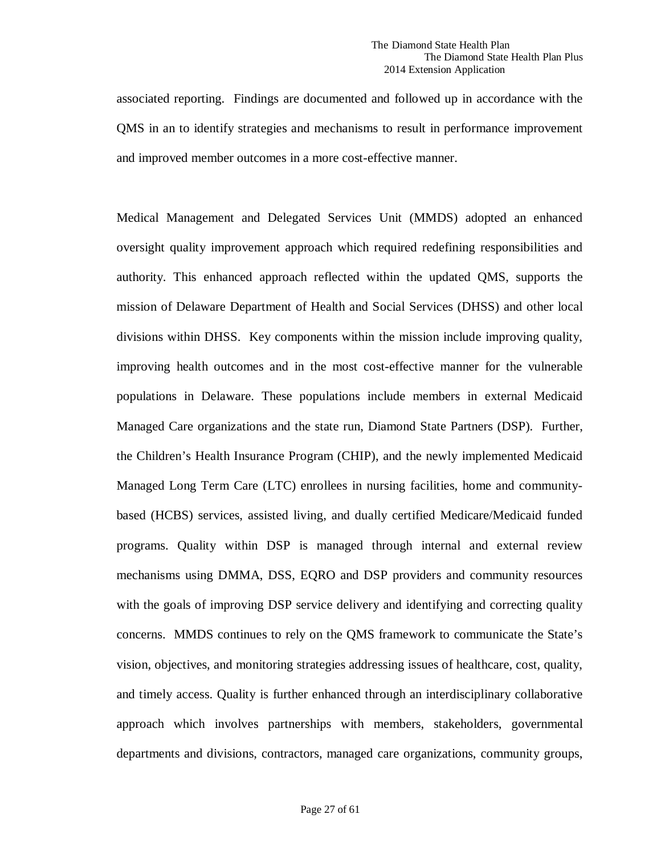associated reporting. Findings are documented and followed up in accordance with the QMS in an to identify strategies and mechanisms to result in performance improvement and improved member outcomes in a more cost-effective manner.

Medical Management and Delegated Services Unit (MMDS) adopted an enhanced oversight quality improvement approach which required redefining responsibilities and authority. This enhanced approach reflected within the updated QMS, supports the mission of Delaware Department of Health and Social Services (DHSS) and other local divisions within DHSS. Key components within the mission include improving quality, improving health outcomes and in the most cost-effective manner for the vulnerable populations in Delaware. These populations include members in external Medicaid Managed Care organizations and the state run, Diamond State Partners (DSP). Further, the Children's Health Insurance Program (CHIP), and the newly implemented Medicaid Managed Long Term Care (LTC) enrollees in nursing facilities, home and communitybased (HCBS) services, assisted living, and dually certified Medicare/Medicaid funded programs. Quality within DSP is managed through internal and external review mechanisms using DMMA, DSS, EQRO and DSP providers and community resources with the goals of improving DSP service delivery and identifying and correcting quality concerns. MMDS continues to rely on the QMS framework to communicate the State's vision, objectives, and monitoring strategies addressing issues of healthcare, cost, quality, and timely access. Quality is further enhanced through an interdisciplinary collaborative approach which involves partnerships with members, stakeholders, governmental departments and divisions, contractors, managed care organizations, community groups,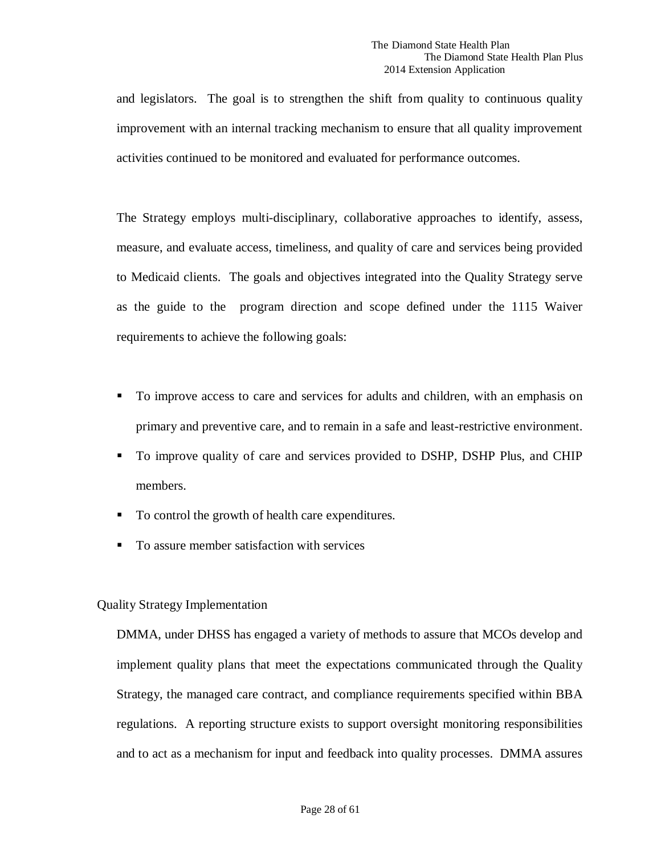and legislators. The goal is to strengthen the shift from quality to continuous quality improvement with an internal tracking mechanism to ensure that all quality improvement activities continued to be monitored and evaluated for performance outcomes.

The Strategy employs multi-disciplinary, collaborative approaches to identify, assess, measure, and evaluate access, timeliness, and quality of care and services being provided to Medicaid clients. The goals and objectives integrated into the Quality Strategy serve as the guide to the program direction and scope defined under the 1115 Waiver requirements to achieve the following goals:

- To improve access to care and services for adults and children, with an emphasis on primary and preventive care, and to remain in a safe and least-restrictive environment.
- To improve quality of care and services provided to DSHP, DSHP Plus, and CHIP members.
- To control the growth of health care expenditures.
- To assure member satisfaction with services

### Quality Strategy Implementation

DMMA, under DHSS has engaged a variety of methods to assure that MCOs develop and implement quality plans that meet the expectations communicated through the Quality Strategy, the managed care contract, and compliance requirements specified within BBA regulations. A reporting structure exists to support oversight monitoring responsibilities and to act as a mechanism for input and feedback into quality processes. DMMA assures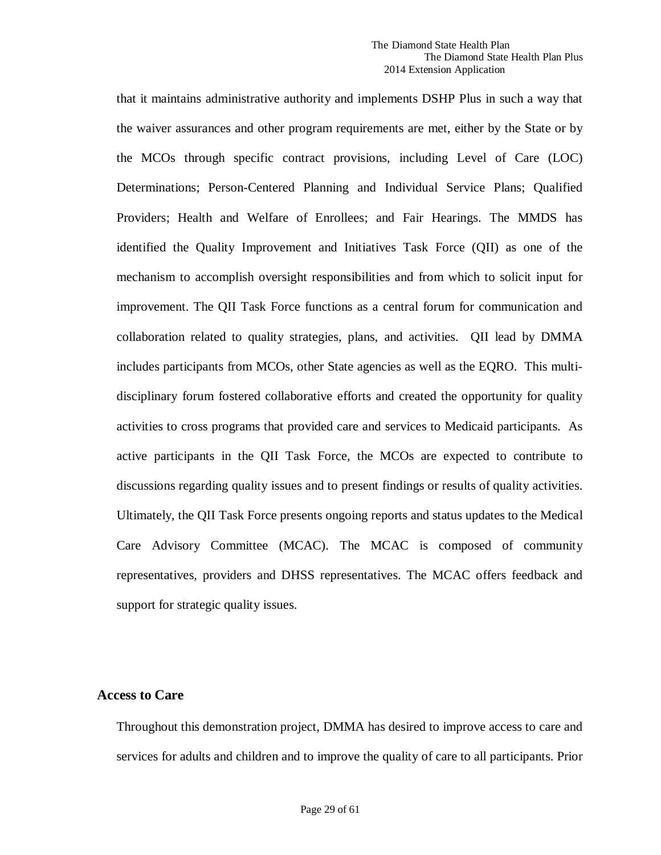that it maintains administrative authority and implements DSHP Plus in such a way that the waiver assurances and other program requirements are met, either by the State or by the MCOs through specific contract provisions, including Level of Care (LOC) Determinations; Person-Centered Planning and Individual Service Plans; Qualified Providers; Health and Welfare of Enrollees; and Fair Hearings. The MMDS has identified the Quality Improvement and Initiatives Task Force (QII) as one of the mechanism to accomplish oversight responsibilities and from which to solicit input for improvement. The QII Task Force functions as a central forum for communication and collaboration related to quality strategies, plans, and activities. QII lead by DMMA includes participants from MCOs, other State agencies as well as the EQRO. This multidisciplinary forum fostered collaborative efforts and created the opportunity for quality activities to cross programs that provided care and services to Medicaid participants. As active participants in the QII Task Force, the MCOs are expected to contribute to discussions regarding quality issues and to present findings or results of quality activities. Ultimately, the QII Task Force presents ongoing reports and status updates to the Medical Care Advisory Committee (MCAC). The MCAC is composed of community representatives, providers and DHSS representatives. The MCAC offers feedback and support for strategic quality issues.

### **Access to Care**

Throughout this demonstration project, DMMA has desired to improve access to care and services for adults and children and to improve the quality of care to all participants. Prior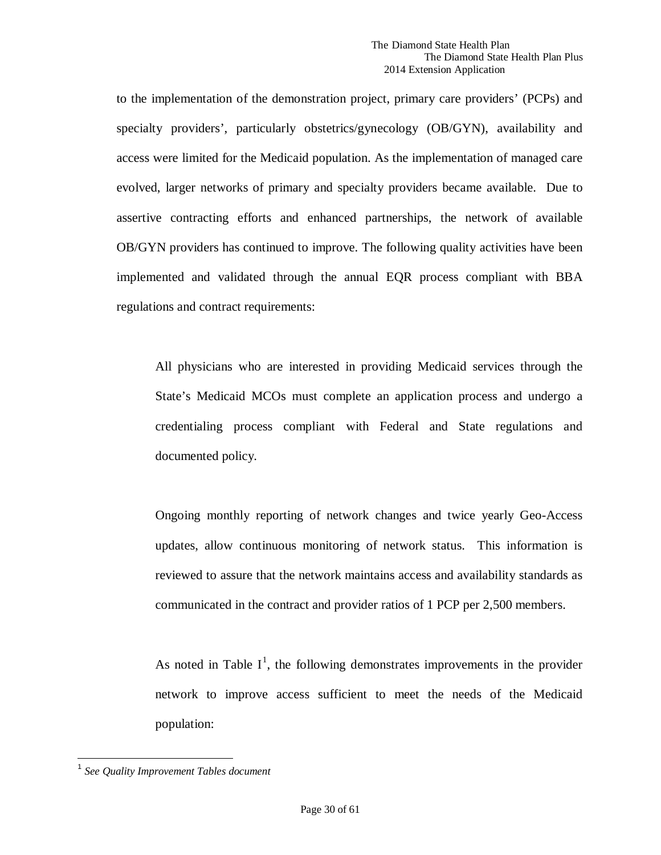to the implementation of the demonstration project, primary care providers' (PCPs) and specialty providers', particularly obstetrics/gynecology (OB/GYN), availability and access were limited for the Medicaid population. As the implementation of managed care evolved, larger networks of primary and specialty providers became available. Due to assertive contracting efforts and enhanced partnerships, the network of available OB/GYN providers has continued to improve. The following quality activities have been implemented and validated through the annual EQR process compliant with BBA regulations and contract requirements:

All physicians who are interested in providing Medicaid services through the State's Medicaid MCOs must complete an application process and undergo a credentialing process compliant with Federal and State regulations and documented policy.

Ongoing monthly reporting of network changes and twice yearly Geo-Access updates, allow continuous monitoring of network status. This information is reviewed to assure that the network maintains access and availability standards as communicated in the contract and provider ratios of 1 PCP per 2,500 members.

As noted in Table  $I^1$  $I^1$ , the following demonstrates improvements in the provider network to improve access sufficient to meet the needs of the Medicaid population:

<span id="page-29-0"></span> <sup>1</sup> *See Quality Improvement Tables document*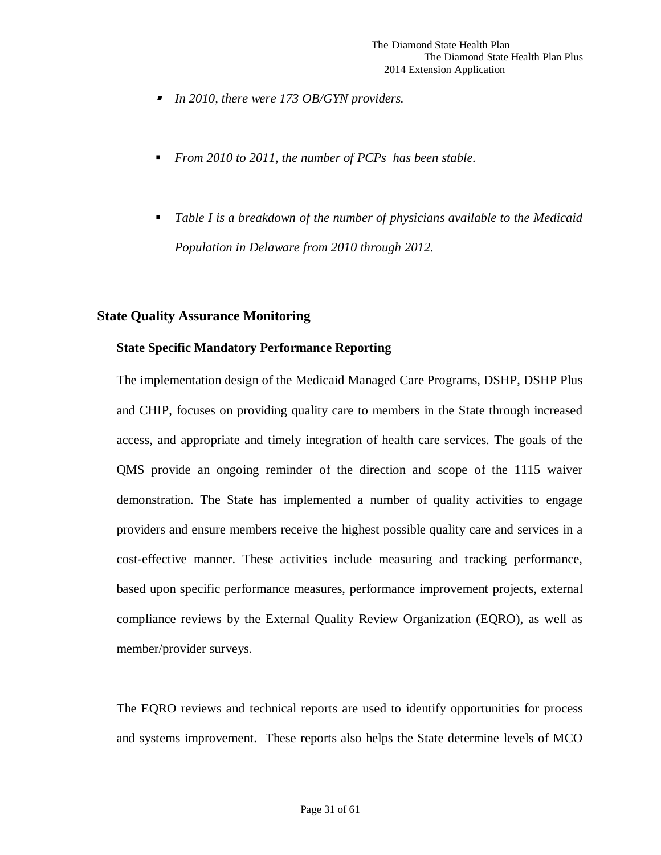- *In 2010, there were 173 OB/GYN providers.*
- *From 2010 to 2011, the number of PCPs has been stable.*
- *Table I is a breakdown of the number of physicians available to the Medicaid Population in Delaware from 2010 through 2012.*

### <span id="page-30-0"></span>**State Quality Assurance Monitoring**

### **State Specific Mandatory Performance Reporting**

The implementation design of the Medicaid Managed Care Programs, DSHP, DSHP Plus and CHIP, focuses on providing quality care to members in the State through increased access, and appropriate and timely integration of health care services. The goals of the QMS provide an ongoing reminder of the direction and scope of the 1115 waiver demonstration. The State has implemented a number of quality activities to engage providers and ensure members receive the highest possible quality care and services in a cost-effective manner. These activities include measuring and tracking performance, based upon specific performance measures, performance improvement projects, external compliance reviews by the External Quality Review Organization (EQRO), as well as member/provider surveys.

The EQRO reviews and technical reports are used to identify opportunities for process and systems improvement. These reports also helps the State determine levels of MCO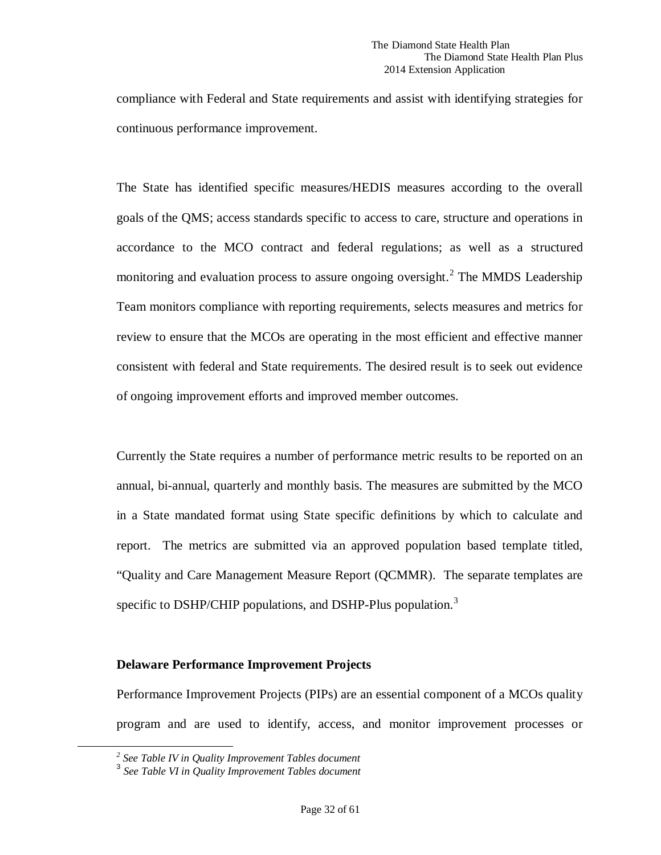compliance with Federal and State requirements and assist with identifying strategies for continuous performance improvement.

The State has identified specific measures/HEDIS measures according to the overall goals of the QMS; access standards specific to access to care, structure and operations in accordance to the MCO contract and federal regulations; as well as a structured monitoring and evaluation process to assure ongoing oversight.<sup>[2](#page-31-0)</sup> The MMDS Leadership Team monitors compliance with reporting requirements, selects measures and metrics for review to ensure that the MCOs are operating in the most efficient and effective manner consistent with federal and State requirements. The desired result is to seek out evidence of ongoing improvement efforts and improved member outcomes.

Currently the State requires a number of performance metric results to be reported on an annual, bi-annual, quarterly and monthly basis. The measures are submitted by the MCO in a State mandated format using State specific definitions by which to calculate and report. The metrics are submitted via an approved population based template titled, "Quality and Care Management Measure Report (QCMMR). The separate templates are specific to DSHP/CHIP populations, and DSHP-Plus population.<sup>[3](#page-31-1)</sup>

### **Delaware Performance Improvement Projects**

Performance Improvement Projects (PIPs) are an essential component of a MCOs quality program and are used to identify, access, and monitor improvement processes or

<span id="page-31-0"></span>*<sup>2</sup> See Table IV in Quality Improvement Tables document*

<span id="page-31-1"></span><sup>3</sup> *See Table VI in Quality Improvement Tables document*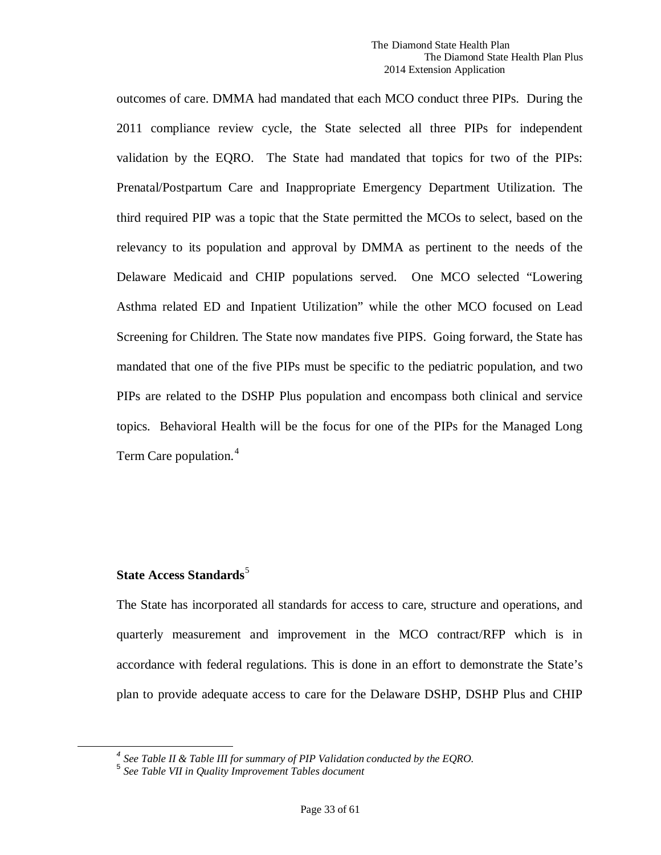outcomes of care. DMMA had mandated that each MCO conduct three PIPs. During the 2011 compliance review cycle, the State selected all three PIPs for independent validation by the EQRO. The State had mandated that topics for two of the PIPs: Prenatal/Postpartum Care and Inappropriate Emergency Department Utilization. The third required PIP was a topic that the State permitted the MCOs to select, based on the relevancy to its population and approval by DMMA as pertinent to the needs of the Delaware Medicaid and CHIP populations served. One MCO selected "Lowering Asthma related ED and Inpatient Utilization" while the other MCO focused on Lead Screening for Children. The State now mandates five PIPS. Going forward, the State has mandated that one of the five PIPs must be specific to the pediatric population, and two PIPs are related to the DSHP Plus population and encompass both clinical and service topics. Behavioral Health will be the focus for one of the PIPs for the Managed Long Term Care population.<sup>[4](#page-32-0)</sup>

## **State Access Standards** [5](#page-32-1)

The State has incorporated all standards for access to care, structure and operations, and quarterly measurement and improvement in the MCO contract/RFP which is in accordance with federal regulations. This is done in an effort to demonstrate the State's plan to provide adequate access to care for the Delaware DSHP, DSHP Plus and CHIP

<span id="page-32-1"></span><span id="page-32-0"></span>*<sup>4</sup> See Table II & Table III for summary of PIP Validation conducted by the EQRO.* <sup>5</sup> *See Table VII in Quality Improvement Tables document*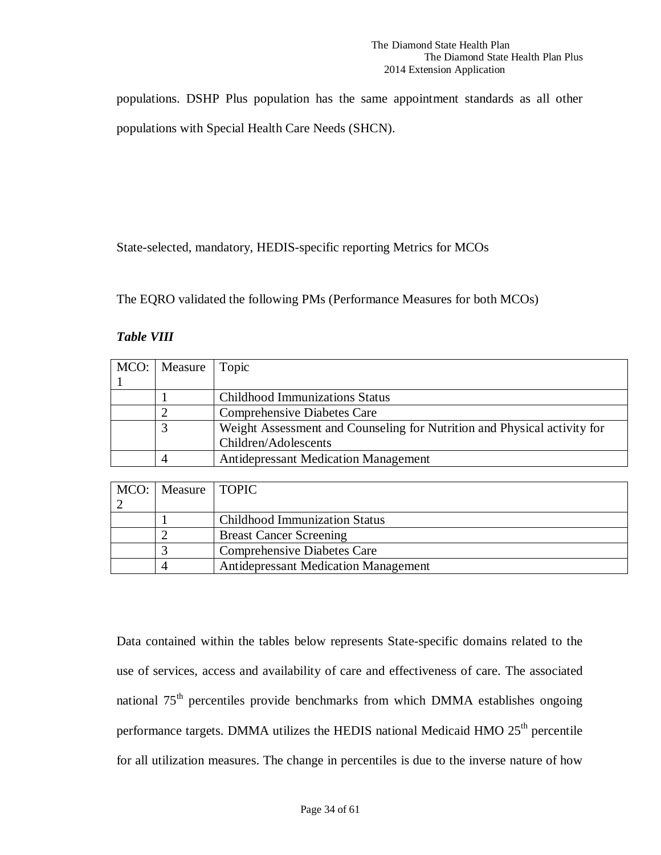populations. DSHP Plus population has the same appointment standards as all other populations with Special Health Care Needs (SHCN).

State-selected, mandatory, HEDIS-specific reporting Metrics for MCOs

The EQRO validated the following PMs (Performance Measures for both MCOs)

### *Table VIII*

| MCO:   Measure   Topic |                                                                          |
|------------------------|--------------------------------------------------------------------------|
|                        |                                                                          |
|                        | <b>Childhood Immunizations Status</b>                                    |
|                        | <b>Comprehensive Diabetes Care</b>                                       |
|                        | Weight Assessment and Counseling for Nutrition and Physical activity for |
|                        | Children/Adolescents                                                     |
|                        | <b>Antidepressant Medication Management</b>                              |

| MCO:   Measure   TOPIC |                                             |
|------------------------|---------------------------------------------|
|                        |                                             |
|                        | <b>Childhood Immunization Status</b>        |
|                        | <b>Breast Cancer Screening</b>              |
|                        | <b>Comprehensive Diabetes Care</b>          |
|                        | <b>Antidepressant Medication Management</b> |

Data contained within the tables below represents State-specific domains related to the use of services, access and availability of care and effectiveness of care. The associated national 75<sup>th</sup> percentiles provide benchmarks from which DMMA establishes ongoing performance targets. DMMA utilizes the HEDIS national Medicaid HMO  $25<sup>th</sup>$  percentile for all utilization measures. The change in percentiles is due to the inverse nature of how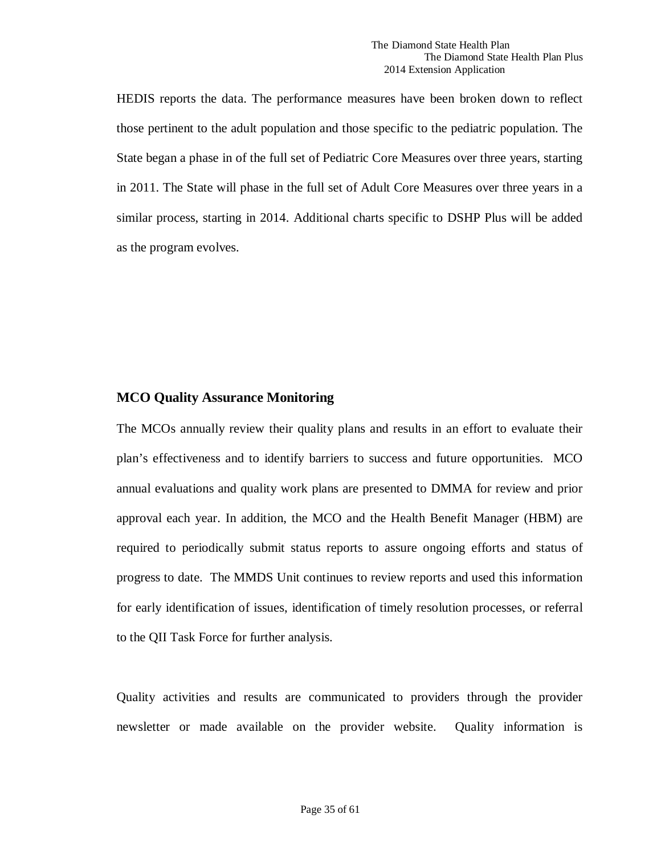HEDIS reports the data. The performance measures have been broken down to reflect those pertinent to the adult population and those specific to the pediatric population. The State began a phase in of the full set of Pediatric Core Measures over three years, starting in 2011. The State will phase in the full set of Adult Core Measures over three years in a similar process, starting in 2014. Additional charts specific to DSHP Plus will be added as the program evolves.

## **MCO Quality Assurance Monitoring**

The MCOs annually review their quality plans and results in an effort to evaluate their plan's effectiveness and to identify barriers to success and future opportunities. MCO annual evaluations and quality work plans are presented to DMMA for review and prior approval each year. In addition, the MCO and the Health Benefit Manager (HBM) are required to periodically submit status reports to assure ongoing efforts and status of progress to date. The MMDS Unit continues to review reports and used this information for early identification of issues, identification of timely resolution processes, or referral to the QII Task Force for further analysis.

Quality activities and results are communicated to providers through the provider newsletter or made available on the provider website. Quality information is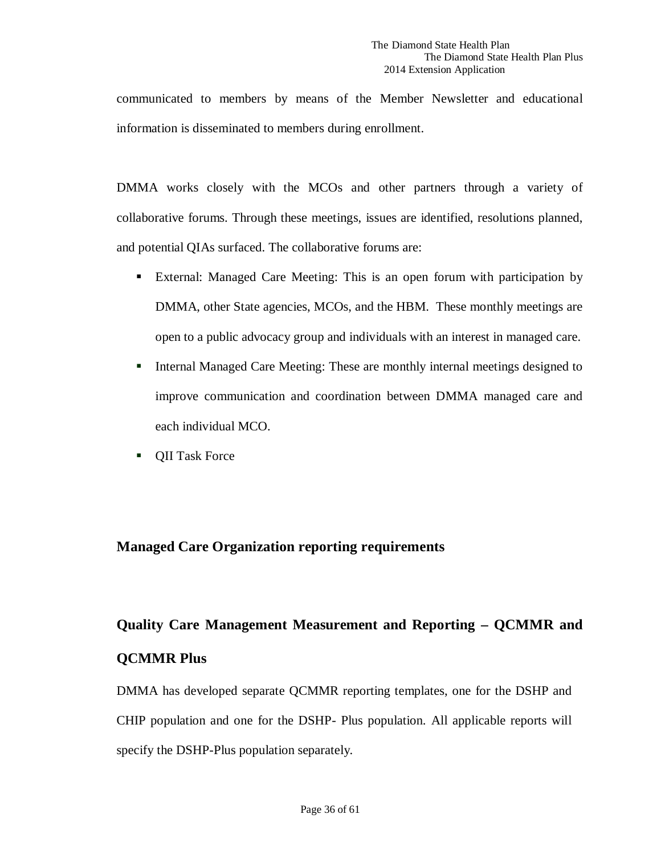communicated to members by means of the Member Newsletter and educational information is disseminated to members during enrollment.

DMMA works closely with the MCOs and other partners through a variety of collaborative forums. Through these meetings, issues are identified, resolutions planned, and potential QIAs surfaced. The collaborative forums are:

- External: Managed Care Meeting: This is an open forum with participation by DMMA, other State agencies, MCOs, and the HBM. These monthly meetings are open to a public advocacy group and individuals with an interest in managed care.
- Internal Managed Care Meeting: These are monthly internal meetings designed to improve communication and coordination between DMMA managed care and each individual MCO.
- **•** QII Task Force

## **Managed Care Organization reporting requirements**

# **Quality Care Management Measurement and Reporting – QCMMR and QCMMR Plus**

DMMA has developed separate QCMMR reporting templates, one for the DSHP and CHIP population and one for the DSHP- Plus population. All applicable reports will specify the DSHP-Plus population separately.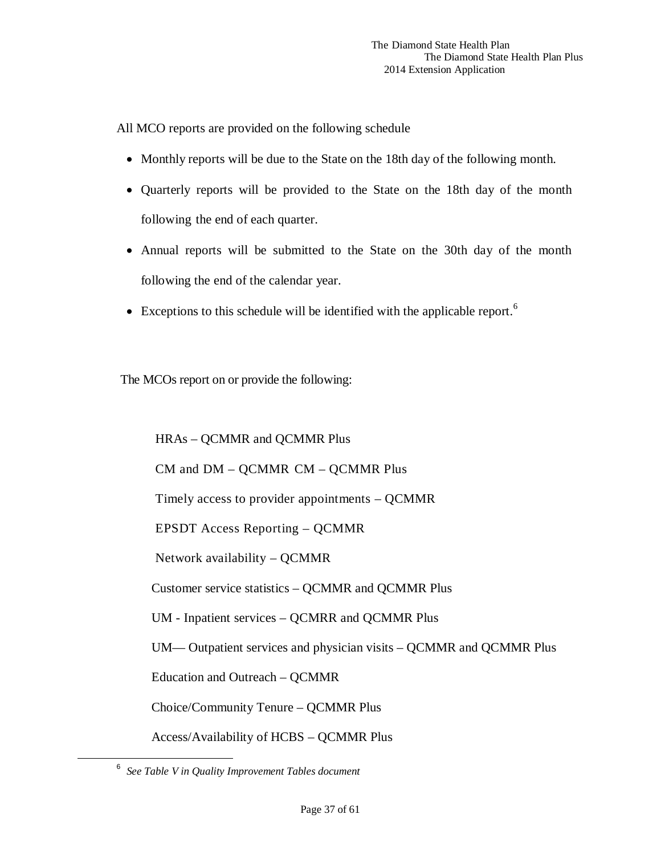All MCO reports are provided on the following schedule

- Monthly reports will be due to the State on the 18th day of the following month.
- Quarterly reports will be provided to the State on the 18th day of the month following the end of each quarter.
- Annual reports will be submitted to the State on the 30th day of the month following the end of the calendar year.
- Exceptions to this schedule will be identified with the applicable report.<sup>[6](#page-36-0)</sup>

The MCOs report on or provide the following:

HRAs – QCMMR and QCMMR Plus CM and DM – QCMMR CM – QCMMR Plus Timely access to provider appointments – QCMMR EPSDT Access Reporting – QCMMR Network availability – QCMMR Customer service statistics – QCMMR and QCMMR Plus UM - Inpatient services – QCMRR and QCMMR Plus UM— Outpatient services and physician visits – QCMMR and QCMMR Plus Education and Outreach – QCMMR Choice/Community Tenure – QCMMR Plus Access/Availability of HCBS – QCMMR Plus

<span id="page-36-0"></span> <sup>6</sup> *See Table V in Quality Improvement Tables document*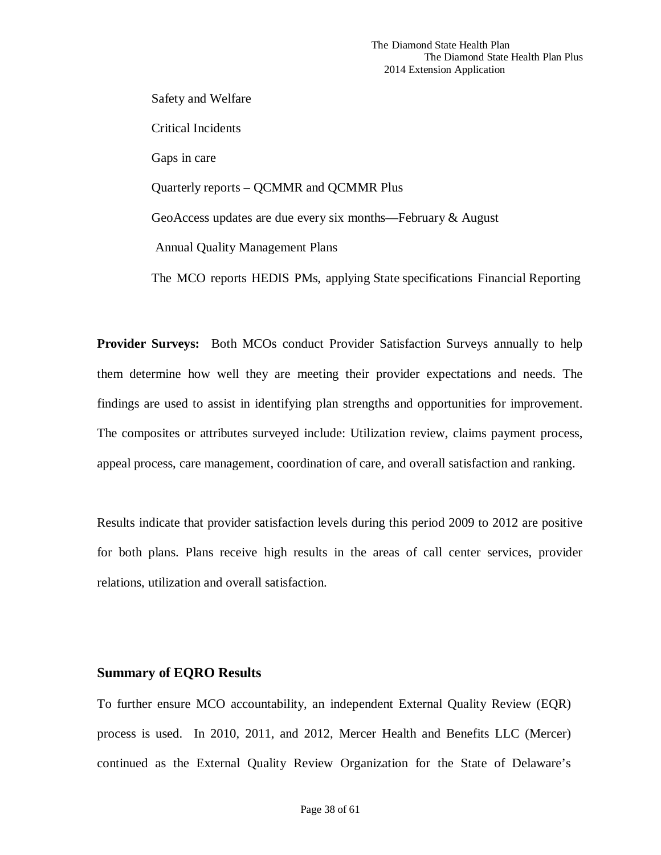Safety and Welfare Critical Incidents Gaps in care Quarterly reports – QCMMR and QCMMR Plus GeoAccess updates are due every six months—February & August Annual Quality Management Plans The MCO reports HEDIS PMs, applying State specifications Financial Reporting

**Provider Surveys:** Both MCOs conduct Provider Satisfaction Surveys annually to help them determine how well they are meeting their provider expectations and needs. The findings are used to assist in identifying plan strengths and opportunities for improvement. The composites or attributes surveyed include: Utilization review, claims payment process, appeal process, care management, coordination of care, and overall satisfaction and ranking.

 Results indicate that provider satisfaction levels during this period 2009 to 2012 are positive for both plans. Plans receive high results in the areas of call center services, provider relations, utilization and overall satisfaction.

### **Summary of EQRO Results**

To further ensure MCO accountability, an independent External Quality Review (EQR) process is used. In 2010, 2011, and 2012, Mercer Health and Benefits LLC (Mercer) continued as the External Quality Review Organization for the State of Delaware's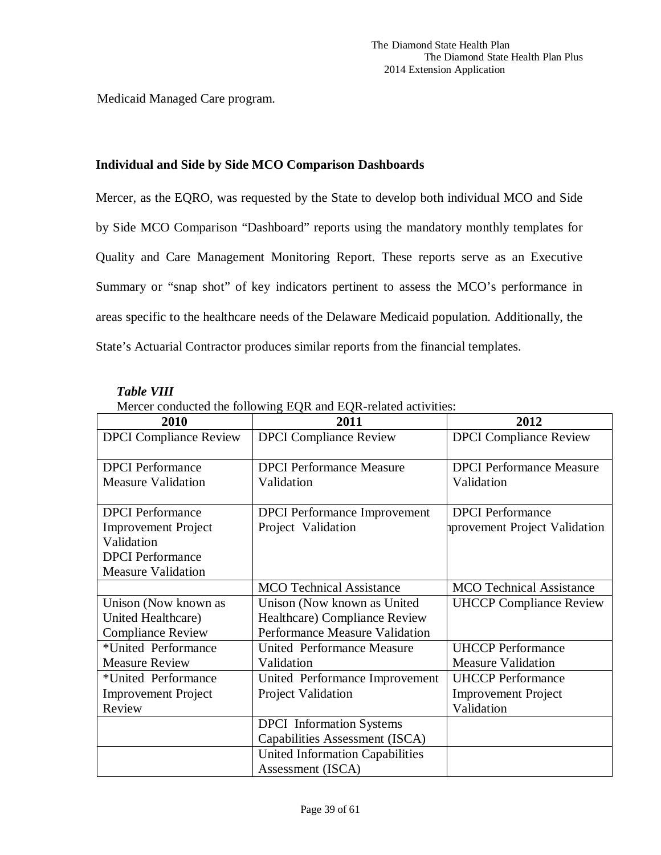Medicaid Managed Care program.

### <span id="page-38-0"></span>**Individual and Side by Side MCO Comparison Dashboards**

Mercer, as the EQRO, was requested by the State to develop both individual MCO and Side by Side MCO Comparison "Dashboard" reports using the mandatory monthly templates for Quality and Care Management Monitoring Report. These reports serve as an Executive Summary or "snap shot" of key indicators pertinent to assess the MCO's performance in areas specific to the healthcare needs of the Delaware Medicaid population. Additionally, the State's Actuarial Contractor produces similar reports from the financial templates.

| Mercer conducted the following EQR and EQR-related activities: |                                        |                                 |  |  |  |
|----------------------------------------------------------------|----------------------------------------|---------------------------------|--|--|--|
| 2010                                                           | 2011                                   | 2012                            |  |  |  |
| <b>DPCI</b> Compliance Review                                  | <b>DPCI</b> Compliance Review          | <b>DPCI</b> Compliance Review   |  |  |  |
| <b>DPCI</b> Performance                                        | <b>DPCI</b> Performance Measure        | <b>DPCI</b> Performance Measure |  |  |  |
| <b>Measure Validation</b>                                      | Validation                             | Validation                      |  |  |  |
| <b>DPCI</b> Performance                                        | <b>DPCI</b> Performance Improvement    | <b>DPCI</b> Performance         |  |  |  |
| <b>Improvement Project</b>                                     | Project Validation                     | aprovement Project Validation   |  |  |  |
| Validation                                                     |                                        |                                 |  |  |  |
| <b>DPCI</b> Performance                                        |                                        |                                 |  |  |  |
| <b>Measure Validation</b>                                      |                                        |                                 |  |  |  |
|                                                                | <b>MCO</b> Technical Assistance        | <b>MCO</b> Technical Assistance |  |  |  |
| Unison (Now known as                                           | Unison (Now known as United            | <b>UHCCP Compliance Review</b>  |  |  |  |
| United Healthcare)                                             | Healthcare) Compliance Review          |                                 |  |  |  |
| <b>Compliance Review</b>                                       | Performance Measure Validation         |                                 |  |  |  |
| *United Performance                                            | <b>United Performance Measure</b>      | <b>UHCCP</b> Performance        |  |  |  |
| <b>Measure Review</b>                                          | Validation                             | <b>Measure Validation</b>       |  |  |  |
| *United Performance                                            | United Performance Improvement         | <b>UHCCP</b> Performance        |  |  |  |
| <b>Improvement Project</b>                                     | Project Validation                     | <b>Improvement Project</b>      |  |  |  |
| Review                                                         |                                        | Validation                      |  |  |  |
|                                                                | <b>DPCI</b> Information Systems        |                                 |  |  |  |
|                                                                | Capabilities Assessment (ISCA)         |                                 |  |  |  |
|                                                                | <b>United Information Capabilities</b> |                                 |  |  |  |
|                                                                | Assessment (ISCA)                      |                                 |  |  |  |

### *Table VIII*

Page 39 of 61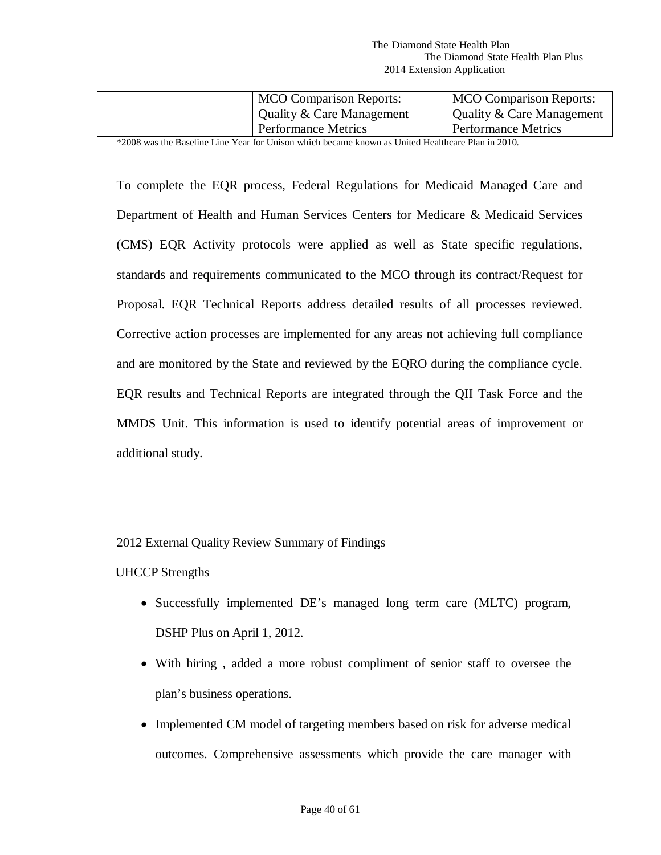| <b>MCO</b> Comparison Reports: | <b>MCO</b> Comparison Reports: |
|--------------------------------|--------------------------------|
| Quality & Care Management      | Quality & Care Management      |
| <b>Performance Metrics</b>     | <b>Performance Metrics</b>     |

\*2008 was the Baseline Line Year for Unison which became known as United Healthcare Plan in 2010.

To complete the EQR process, Federal Regulations for Medicaid Managed Care and Department of Health and Human Services Centers for Medicare & Medicaid Services (CMS) EQR Activity protocols were applied as well as State specific regulations, standards and requirements communicated to the MCO through its contract/Request for Proposal. EQR Technical Reports address detailed results of all processes reviewed. Corrective action processes are implemented for any areas not achieving full compliance and are monitored by the State and reviewed by the EQRO during the compliance cycle. EQR results and Technical Reports are integrated through the QII Task Force and the MMDS Unit. This information is used to identify potential areas of improvement or additional study.

2012 External Quality Review Summary of Findings

### UHCCP Strengths

- Successfully implemented DE's managed long term care (MLTC) program, DSHP Plus on April 1, 2012.
- With hiring , added a more robust compliment of senior staff to oversee the plan's business operations.
- Implemented CM model of targeting members based on risk for adverse medical outcomes. Comprehensive assessments which provide the care manager with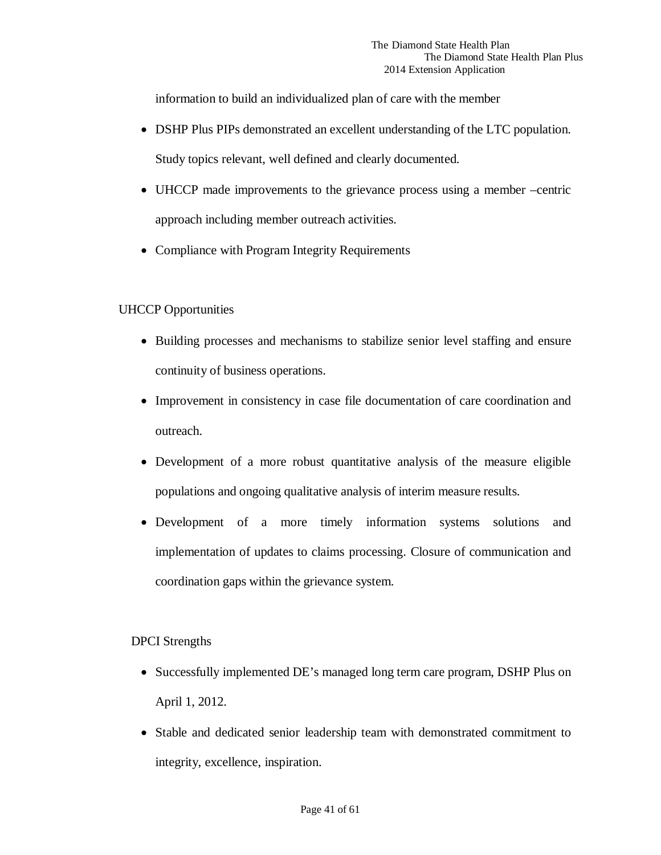information to build an individualized plan of care with the member

- DSHP Plus PIPs demonstrated an excellent understanding of the LTC population. Study topics relevant, well defined and clearly documented.
- UHCCP made improvements to the grievance process using a member –centric approach including member outreach activities.
- Compliance with Program Integrity Requirements

## UHCCP Opportunities

- Building processes and mechanisms to stabilize senior level staffing and ensure continuity of business operations.
- Improvement in consistency in case file documentation of care coordination and outreach.
- Development of a more robust quantitative analysis of the measure eligible populations and ongoing qualitative analysis of interim measure results.
- Development of a more timely information systems solutions and implementation of updates to claims processing. Closure of communication and coordination gaps within the grievance system.

## DPCI Strengths

- Successfully implemented DE's managed long term care program, DSHP Plus on April 1, 2012.
- Stable and dedicated senior leadership team with demonstrated commitment to integrity, excellence, inspiration.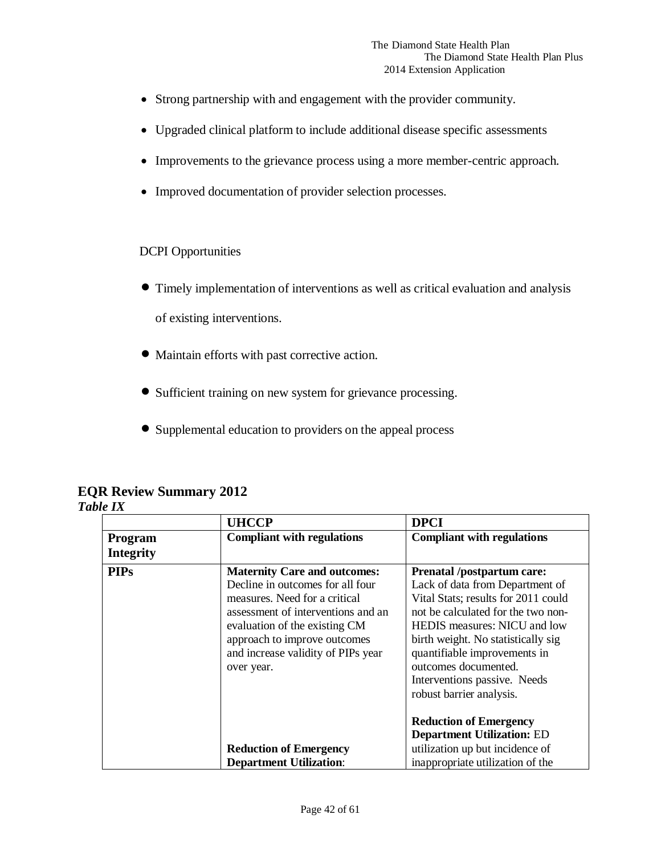- Strong partnership with and engagement with the provider community.
- Upgraded clinical platform to include additional disease specific assessments
- Improvements to the grievance process using a more member-centric approach.
- Improved documentation of provider selection processes.

### DCPI Opportunities

- Timely implementation of interventions as well as critical evaluation and analysis of existing interventions.
- Maintain efforts with past corrective action.
- Sufficient training on new system for grievance processing.
- Supplemental education to providers on the appeal process

### **EQR Review Summary 2012** *Table IX*

|                                    | <b>UHCCP</b>                                                                                                                                                                                                                                                        | <b>DPCI</b>                                                                                                                                                                                                                                                                                                                                 |
|------------------------------------|---------------------------------------------------------------------------------------------------------------------------------------------------------------------------------------------------------------------------------------------------------------------|---------------------------------------------------------------------------------------------------------------------------------------------------------------------------------------------------------------------------------------------------------------------------------------------------------------------------------------------|
| <b>Program</b><br><b>Integrity</b> | <b>Compliant with regulations</b>                                                                                                                                                                                                                                   | <b>Compliant with regulations</b>                                                                                                                                                                                                                                                                                                           |
| <b>PIPs</b>                        | <b>Maternity Care and outcomes:</b><br>Decline in outcomes for all four<br>measures. Need for a critical<br>assessment of interventions and an<br>evaluation of the existing CM<br>approach to improve outcomes<br>and increase validity of PIPs year<br>over year. | <b>Prenatal /postpartum care:</b><br>Lack of data from Department of<br>Vital Stats; results for 2011 could<br>not be calculated for the two non-<br>HEDIS measures: NICU and low<br>birth weight. No statistically sig<br>quantifiable improvements in<br>outcomes documented.<br>Interventions passive. Needs<br>robust barrier analysis. |
|                                    | <b>Reduction of Emergency</b>                                                                                                                                                                                                                                       | <b>Reduction of Emergency</b><br><b>Department Utilization: ED</b><br>utilization up but incidence of                                                                                                                                                                                                                                       |
|                                    | <b>Department Utilization:</b>                                                                                                                                                                                                                                      | inappropriate utilization of the                                                                                                                                                                                                                                                                                                            |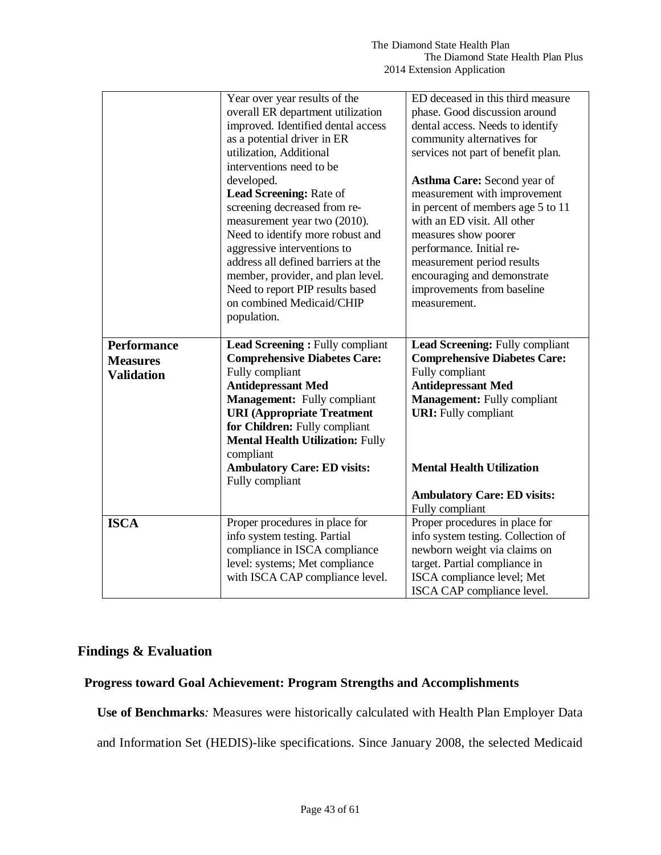|                         | Year over year results of the                   | ED deceased in this third measure   |  |  |
|-------------------------|-------------------------------------------------|-------------------------------------|--|--|
|                         | overall ER department utilization               | phase. Good discussion around       |  |  |
|                         | improved. Identified dental access              | dental access. Needs to identify    |  |  |
|                         | as a potential driver in ER                     | community alternatives for          |  |  |
| utilization, Additional |                                                 | services not part of benefit plan.  |  |  |
|                         | interventions need to be                        |                                     |  |  |
|                         | developed.                                      | Asthma Care: Second year of         |  |  |
|                         | Lead Screening: Rate of                         | measurement with improvement        |  |  |
|                         | screening decreased from re-                    | in percent of members age 5 to 11   |  |  |
|                         | measurement year two (2010).                    | with an ED visit. All other         |  |  |
|                         | Need to identify more robust and                | measures show poorer                |  |  |
|                         | aggressive interventions to                     | performance. Initial re-            |  |  |
|                         | address all defined barriers at the             | measurement period results          |  |  |
|                         | member, provider, and plan level.               | encouraging and demonstrate         |  |  |
|                         | Need to report PIP results based                | improvements from baseline          |  |  |
|                         | on combined Medicaid/CHIP                       | measurement.                        |  |  |
|                         | population.                                     |                                     |  |  |
|                         |                                                 |                                     |  |  |
|                         |                                                 |                                     |  |  |
| <b>Performance</b>      | Lead Screening: Fully compliant                 | Lead Screening: Fully compliant     |  |  |
|                         | <b>Comprehensive Diabetes Care:</b>             | <b>Comprehensive Diabetes Care:</b> |  |  |
| <b>Measures</b>         | Fully compliant                                 | Fully compliant                     |  |  |
| <b>Validation</b>       | <b>Antidepressant Med</b>                       | <b>Antidepressant Med</b>           |  |  |
|                         | <b>Management:</b> Fully compliant              | <b>Management:</b> Fully compliant  |  |  |
|                         | <b>URI</b> (Appropriate Treatment               | <b>URI:</b> Fully compliant         |  |  |
|                         | for Children: Fully compliant                   |                                     |  |  |
|                         | <b>Mental Health Utilization: Fully</b>         |                                     |  |  |
|                         |                                                 |                                     |  |  |
|                         | compliant<br><b>Ambulatory Care: ED visits:</b> | <b>Mental Health Utilization</b>    |  |  |
|                         | Fully compliant                                 |                                     |  |  |
|                         |                                                 | <b>Ambulatory Care: ED visits:</b>  |  |  |
|                         |                                                 | Fully compliant                     |  |  |
| <b>ISCA</b>             | Proper procedures in place for                  | Proper procedures in place for      |  |  |
|                         | info system testing. Partial                    | info system testing. Collection of  |  |  |
|                         | compliance in ISCA compliance                   | newborn weight via claims on        |  |  |
|                         | level: systems; Met compliance                  | target. Partial compliance in       |  |  |
|                         | with ISCA CAP compliance level.                 | ISCA compliance level; Met          |  |  |

# **Findings & Evaluation**

### **Progress toward Goal Achievement: Program Strengths and Accomplishments**

**Use of Benchmarks***:* Measures were historically calculated with Health Plan Employer Data and Information Set (HEDIS)-like specifications. Since January 2008, the selected Medicaid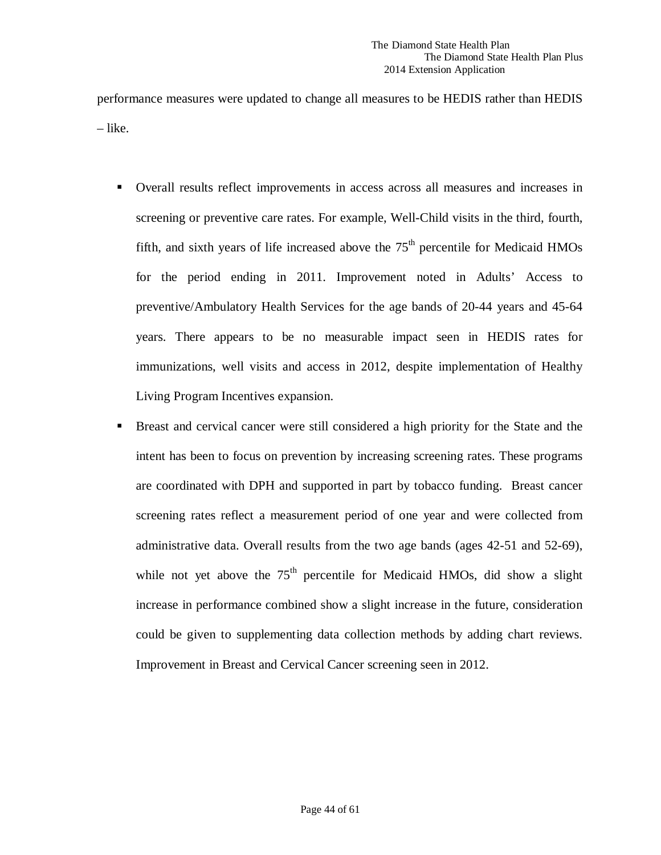performance measures were updated to change all measures to be HEDIS rather than HEDIS – like.

- Overall results reflect improvements in access across all measures and increases in screening or preventive care rates. For example, Well-Child visits in the third, fourth, fifth, and sixth years of life increased above the  $75<sup>th</sup>$  percentile for Medicaid HMOs for the period ending in 2011. Improvement noted in Adults' Access to preventive/Ambulatory Health Services for the age bands of 20-44 years and 45-64 years. There appears to be no measurable impact seen in HEDIS rates for immunizations, well visits and access in 2012, despite implementation of Healthy Living Program Incentives expansion.
- Breast and cervical cancer were still considered a high priority for the State and the intent has been to focus on prevention by increasing screening rates. These programs are coordinated with DPH and supported in part by tobacco funding. Breast cancer screening rates reflect a measurement period of one year and were collected from administrative data. Overall results from the two age bands (ages 42-51 and 52-69), while not yet above the  $75<sup>th</sup>$  percentile for Medicaid HMOs, did show a slight increase in performance combined show a slight increase in the future, consideration could be given to supplementing data collection methods by adding chart reviews. Improvement in Breast and Cervical Cancer screening seen in 2012.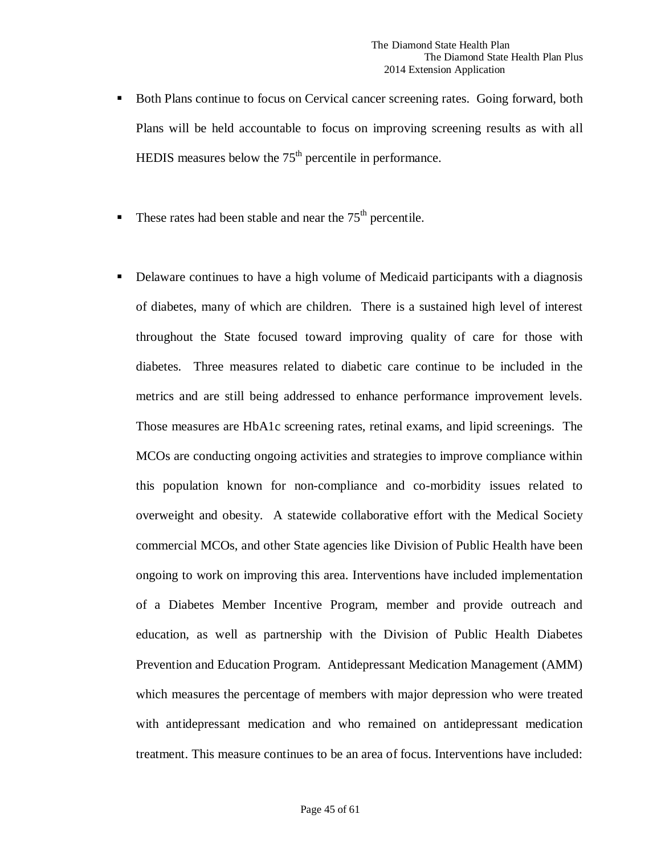- Both Plans continue to focus on Cervical cancer screening rates. Going forward, both Plans will be held accountable to focus on improving screening results as with all HEDIS measures below the  $75<sup>th</sup>$  percentile in performance.
- These rates had been stable and near the  $75<sup>th</sup>$  percentile.
- Delaware continues to have a high volume of Medicaid participants with a diagnosis of diabetes, many of which are children. There is a sustained high level of interest throughout the State focused toward improving quality of care for those with diabetes. Three measures related to diabetic care continue to be included in the metrics and are still being addressed to enhance performance improvement levels. Those measures are HbA1c screening rates, retinal exams, and lipid screenings. The MCOs are conducting ongoing activities and strategies to improve compliance within this population known for non-compliance and co-morbidity issues related to overweight and obesity. A statewide collaborative effort with the Medical Society commercial MCOs, and other State agencies like Division of Public Health have been ongoing to work on improving this area. Interventions have included implementation of a Diabetes Member Incentive Program, member and provide outreach and education, as well as partnership with the Division of Public Health Diabetes Prevention and Education Program. Antidepressant Medication Management (AMM) which measures the percentage of members with major depression who were treated with antidepressant medication and who remained on antidepressant medication treatment. This measure continues to be an area of focus. Interventions have included: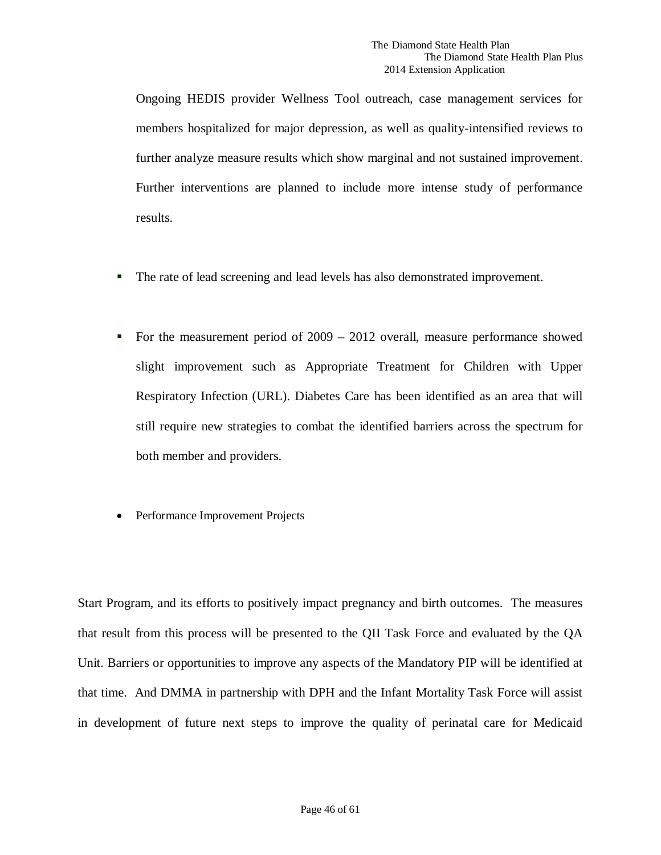Ongoing HEDIS provider Wellness Tool outreach, case management services for members hospitalized for major depression, as well as quality-intensified reviews to further analyze measure results which show marginal and not sustained improvement. Further interventions are planned to include more intense study of performance results.

- The rate of lead screening and lead levels has also demonstrated improvement.
- For the measurement period of  $2009 2012$  overall, measure performance showed slight improvement such as Appropriate Treatment for Children with Upper Respiratory Infection (URL). Diabetes Care has been identified as an area that will still require new strategies to combat the identified barriers across the spectrum for both member and providers.
- Performance Improvement Projects

Start Program, and its efforts to positively impact pregnancy and birth outcomes. The measures that result from this process will be presented to the QII Task Force and evaluated by the QA Unit. Barriers or opportunities to improve any aspects of the Mandatory PIP will be identified at that time. And DMMA in partnership with DPH and the Infant Mortality Task Force will assist in development of future next steps to improve the quality of perinatal care for Medicaid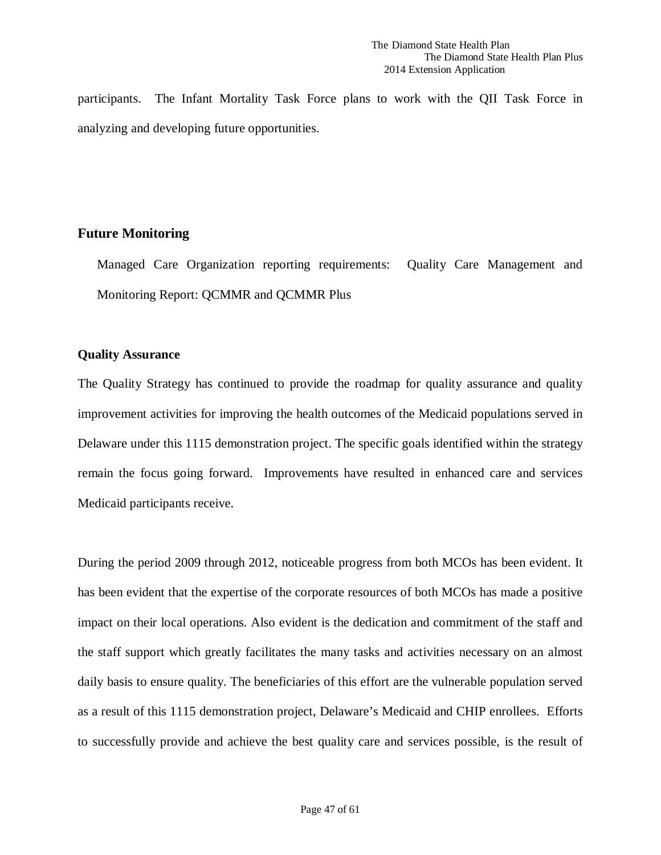participants. The Infant Mortality Task Force plans to work with the QII Task Force in analyzing and developing future opportunities.

### **Future Monitoring**

Managed Care Organization reporting requirements: Quality Care Management and Monitoring Report: QCMMR and QCMMR Plus

### **Quality Assurance**

The Quality Strategy has continued to provide the roadmap for quality assurance and quality improvement activities for improving the health outcomes of the Medicaid populations served in Delaware under this 1115 demonstration project. The specific goals identified within the strategy remain the focus going forward. Improvements have resulted in enhanced care and services Medicaid participants receive.

During the period 2009 through 2012, noticeable progress from both MCOs has been evident. It has been evident that the expertise of the corporate resources of both MCOs has made a positive impact on their local operations. Also evident is the dedication and commitment of the staff and the staff support which greatly facilitates the many tasks and activities necessary on an almost daily basis to ensure quality. The beneficiaries of this effort are the vulnerable population served as a result of this 1115 demonstration project, Delaware's Medicaid and CHIP enrollees. Efforts to successfully provide and achieve the best quality care and services possible, is the result of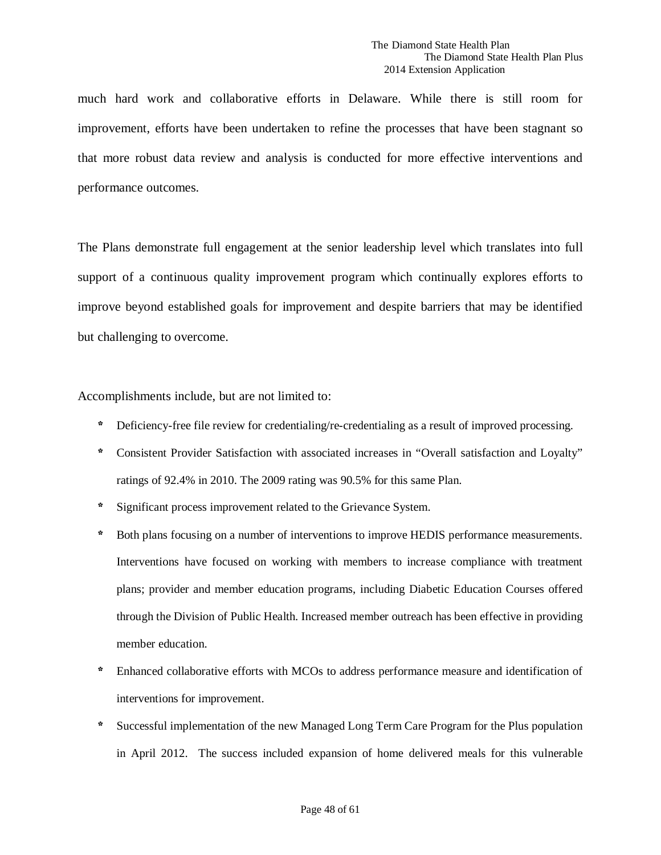much hard work and collaborative efforts in Delaware. While there is still room for improvement, efforts have been undertaken to refine the processes that have been stagnant so that more robust data review and analysis is conducted for more effective interventions and performance outcomes.

The Plans demonstrate full engagement at the senior leadership level which translates into full support of a continuous quality improvement program which continually explores efforts to improve beyond established goals for improvement and despite barriers that may be identified but challenging to overcome.

Accomplishments include, but are not limited to:

- \* Deficiency-free file review for credentialing/re-credentialing as a result of improved processing.
- \* Consistent Provider Satisfaction with associated increases in "Overall satisfaction and Loyalty" ratings of 92.4% in 2010. The 2009 rating was 90.5% for this same Plan.
- \* Significant process improvement related to the Grievance System.
- Both plans focusing on a number of interventions to improve HEDIS performance measurements. Interventions have focused on working with members to increase compliance with treatment plans; provider and member education programs, including Diabetic Education Courses offered through the Division of Public Health. Increased member outreach has been effective in providing member education.
- \* Enhanced collaborative efforts with MCOs to address performance measure and identification of interventions for improvement.
- Successful implementation of the new Managed Long Term Care Program for the Plus population in April 2012. The success included expansion of home delivered meals for this vulnerable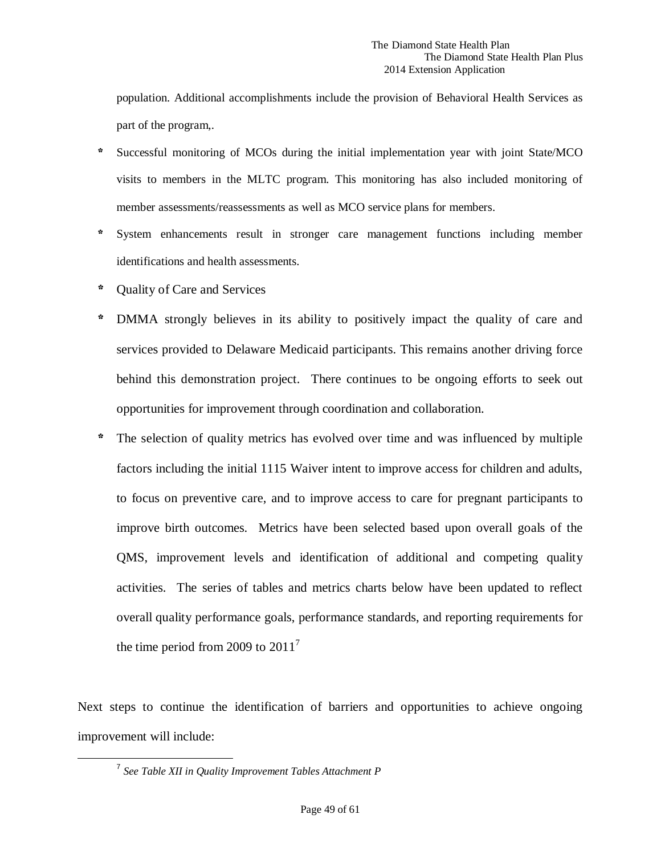population. Additional accomplishments include the provision of Behavioral Health Services as part of the program,.

- \* Successful monitoring of MCOs during the initial implementation year with joint State/MCO visits to members in the MLTC program. This monitoring has also included monitoring of member assessments/reassessments as well as MCO service plans for members.
- System enhancements result in stronger care management functions including member identifications and health assessments.
- \* Quality of Care and Services
- \* DMMA strongly believes in its ability to positively impact the quality of care and services provided to Delaware Medicaid participants. This remains another driving force behind this demonstration project. There continues to be ongoing efforts to seek out opportunities for improvement through coordination and collaboration.
- \* The selection of quality metrics has evolved over time and was influenced by multiple factors including the initial 1115 Waiver intent to improve access for children and adults, to focus on preventive care, and to improve access to care for pregnant participants to improve birth outcomes. Metrics have been selected based upon overall goals of the QMS, improvement levels and identification of additional and competing quality activities. The series of tables and metrics charts below have been updated to reflect overall quality performance goals, performance standards, and reporting requirements for the time period from 2009 to  $2011<sup>7</sup>$  $2011<sup>7</sup>$  $2011<sup>7</sup>$

<span id="page-48-0"></span>Next steps to continue the identification of barriers and opportunities to achieve ongoing improvement will include:

 <sup>7</sup> *See Table XII in Quality Improvement Tables Attachment P*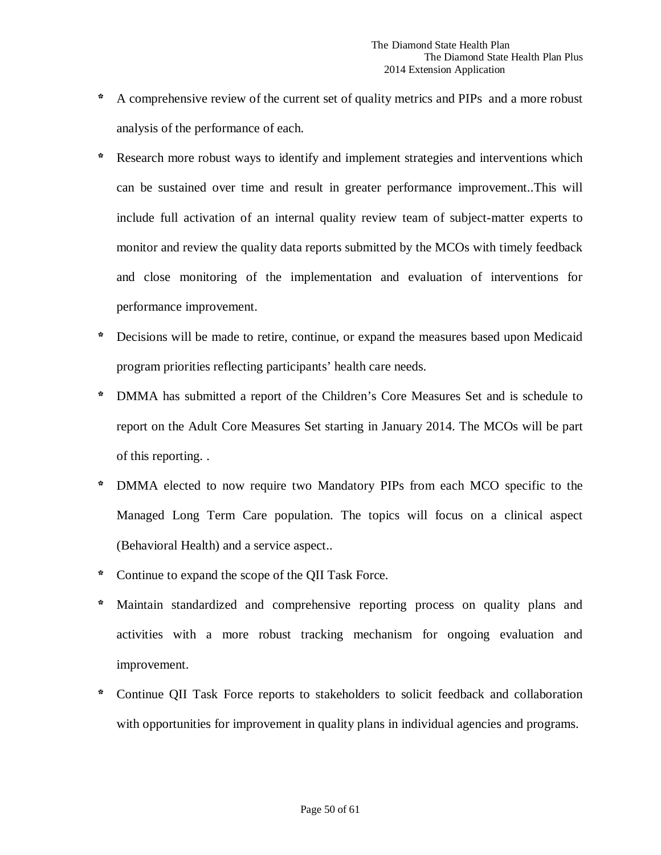- \* A comprehensive review of the current set of quality metrics and PIPs and a more robust analysis of the performance of each.
- Research more robust ways to identify and implement strategies and interventions which can be sustained over time and result in greater performance improvement..This will include full activation of an internal quality review team of subject-matter experts to monitor and review the quality data reports submitted by the MCOs with timely feedback and close monitoring of the implementation and evaluation of interventions for performance improvement.
- \* Decisions will be made to retire, continue, or expand the measures based upon Medicaid program priorities reflecting participants' health care needs.
- \* DMMA has submitted a report of the Children's Core Measures Set and is schedule to report on the Adult Core Measures Set starting in January 2014. The MCOs will be part of this reporting. .
- DMMA elected to now require two Mandatory PIPs from each MCO specific to the Managed Long Term Care population. The topics will focus on a clinical aspect (Behavioral Health) and a service aspect..
- \* Continue to expand the scope of the QII Task Force.
- \* Maintain standardized and comprehensive reporting process on quality plans and activities with a more robust tracking mechanism for ongoing evaluation and improvement.
- \* Continue QII Task Force reports to stakeholders to solicit feedback and collaboration with opportunities for improvement in quality plans in individual agencies and programs.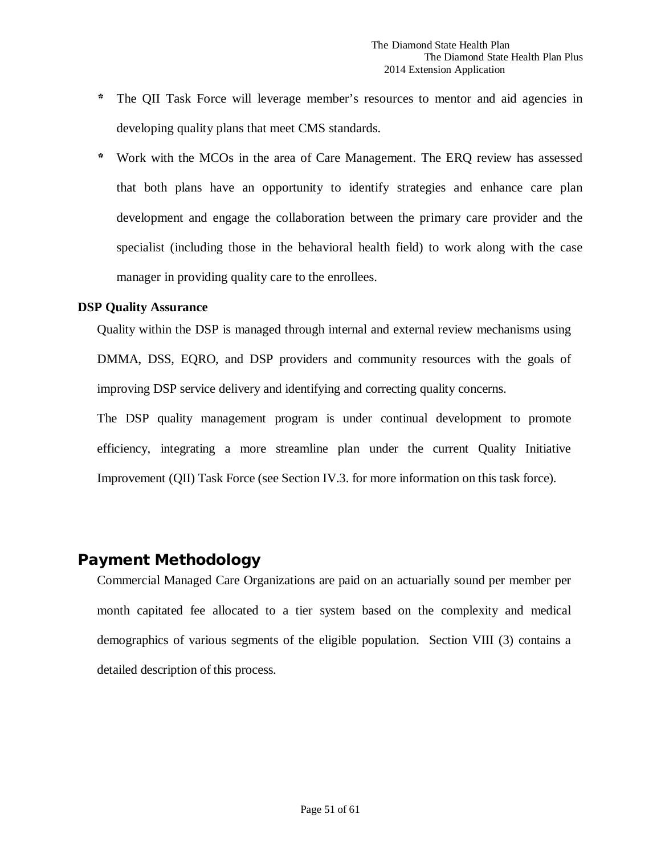- \* The QII Task Force will leverage member's resources to mentor and aid agencies in developing quality plans that meet CMS standards.
- \* Work with the MCOs in the area of Care Management. The ERQ review has assessed that both plans have an opportunity to identify strategies and enhance care plan development and engage the collaboration between the primary care provider and the specialist (including those in the behavioral health field) to work along with the case manager in providing quality care to the enrollees.

### **DSP Quality Assurance**

Quality within the DSP is managed through internal and external review mechanisms using DMMA, DSS, EQRO, and DSP providers and community resources with the goals of improving DSP service delivery and identifying and correcting quality concerns.

The DSP quality management program is under continual development to promote efficiency, integrating a more streamline plan under the current Quality Initiative Improvement (QII) Task Force (see Section IV.3. for more information on this task force).

# <span id="page-50-0"></span>Payment Methodology

Commercial Managed Care Organizations are paid on an actuarially sound per member per month capitated fee allocated to a tier system based on the complexity and medical demographics of various segments of the eligible population. Section VIII (3) contains a detailed description of this process.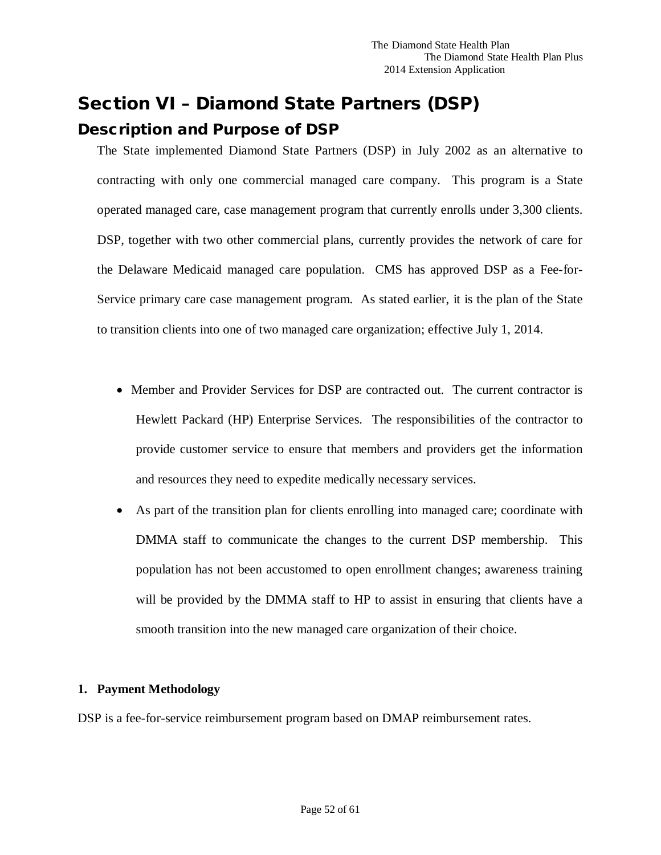# <span id="page-51-1"></span><span id="page-51-0"></span>Section VI – Diamond State Partners (DSP) Description and Purpose of DSP

The State implemented Diamond State Partners (DSP) in July 2002 as an alternative to contracting with only one commercial managed care company. This program is a State operated managed care, case management program that currently enrolls under 3,300 clients. DSP, together with two other commercial plans, currently provides the network of care for the Delaware Medicaid managed care population. CMS has approved DSP as a Fee-for-Service primary care case management program. As stated earlier, it is the plan of the State to transition clients into one of two managed care organization; effective July 1, 2014.

- Member and Provider Services for DSP are contracted out. The current contractor is Hewlett Packard (HP) Enterprise Services. The responsibilities of the contractor to provide customer service to ensure that members and providers get the information and resources they need to expedite medically necessary services.
- As part of the transition plan for clients enrolling into managed care; coordinate with DMMA staff to communicate the changes to the current DSP membership. This population has not been accustomed to open enrollment changes; awareness training will be provided by the DMMA staff to HP to assist in ensuring that clients have a smooth transition into the new managed care organization of their choice.

### **1. Payment Methodology**

DSP is a fee-for-service reimbursement program based on DMAP reimbursement rates.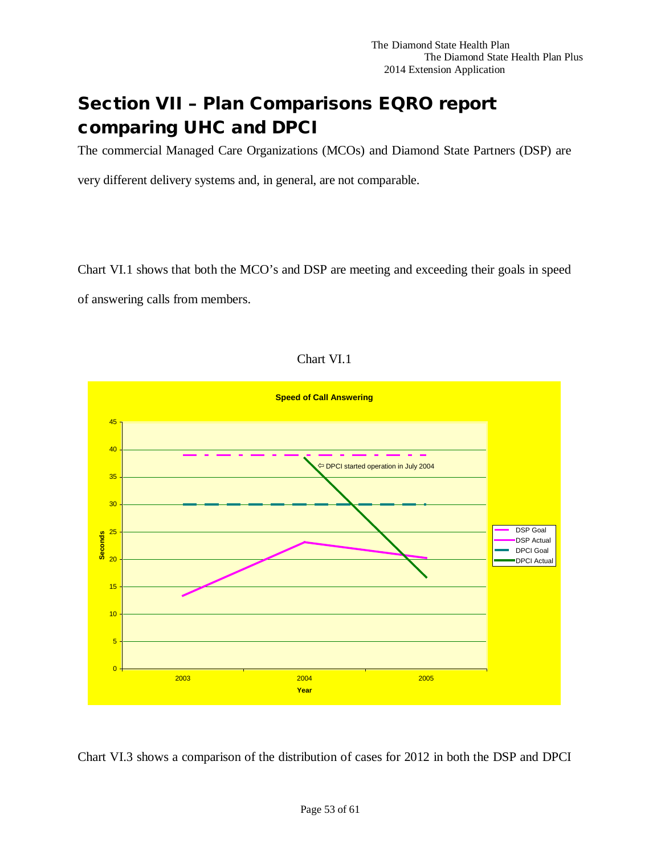# <span id="page-52-0"></span>Section VII – Plan Comparisons EQRO report comparing UHC and DPCI

The commercial Managed Care Organizations (MCOs) and Diamond State Partners (DSP) are

very different delivery systems and, in general, are not comparable.

Chart VI.1 shows that both the MCO's and DSP are meeting and exceeding their goals in speed of answering calls from members.





Chart VI.3 shows a comparison of the distribution of cases for 2012 in both the DSP and DPCI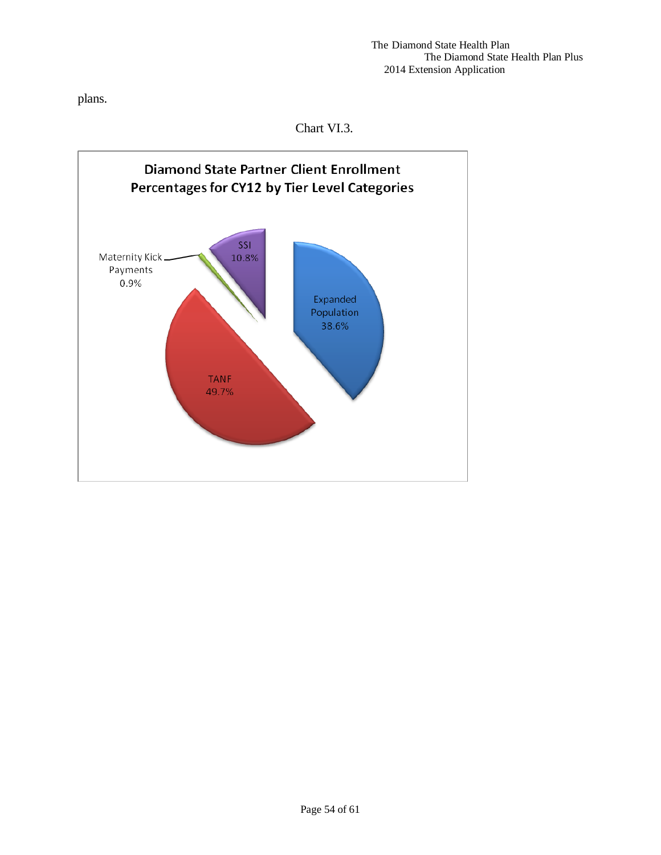plans.

Chart VI.3.

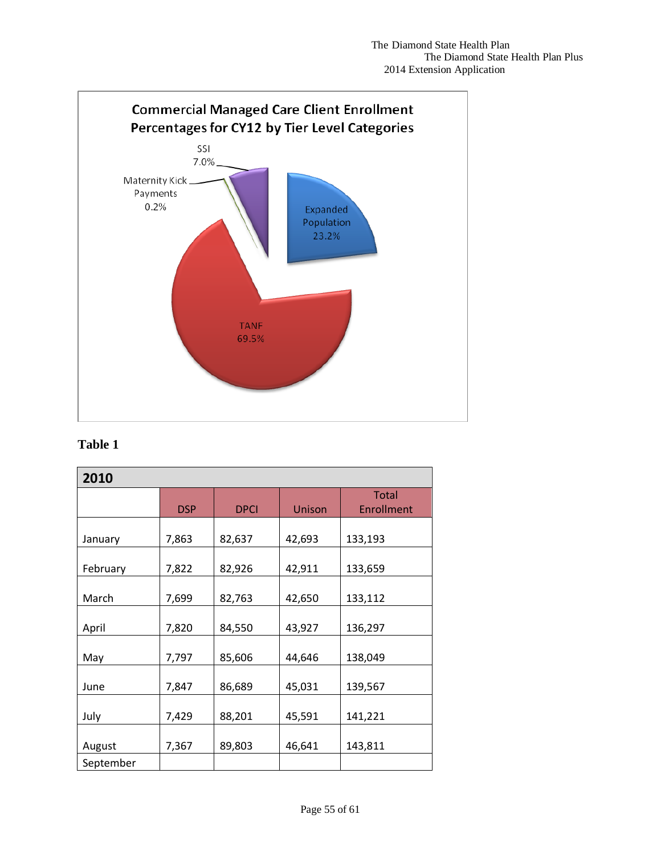

## **Table 1**

| 2010      |            |             |               |                                   |  |
|-----------|------------|-------------|---------------|-----------------------------------|--|
|           | <b>DSP</b> | <b>DPCI</b> | <b>Unison</b> | <b>Total</b><br><b>Enrollment</b> |  |
| January   | 7,863      | 82,637      | 42,693        | 133,193                           |  |
| February  | 7,822      | 82,926      | 42,911        | 133,659                           |  |
| March     | 7,699      | 82,763      | 42,650        | 133,112                           |  |
| April     | 7,820      | 84,550      | 43,927        | 136,297                           |  |
| May       | 7,797      | 85,606      | 44,646        | 138,049                           |  |
| June      | 7,847      | 86,689      | 45,031        | 139,567                           |  |
| July      | 7,429      | 88,201      | 45,591        | 141,221                           |  |
| August    | 7,367      | 89,803      | 46,641        | 143,811                           |  |
| September |            |             |               |                                   |  |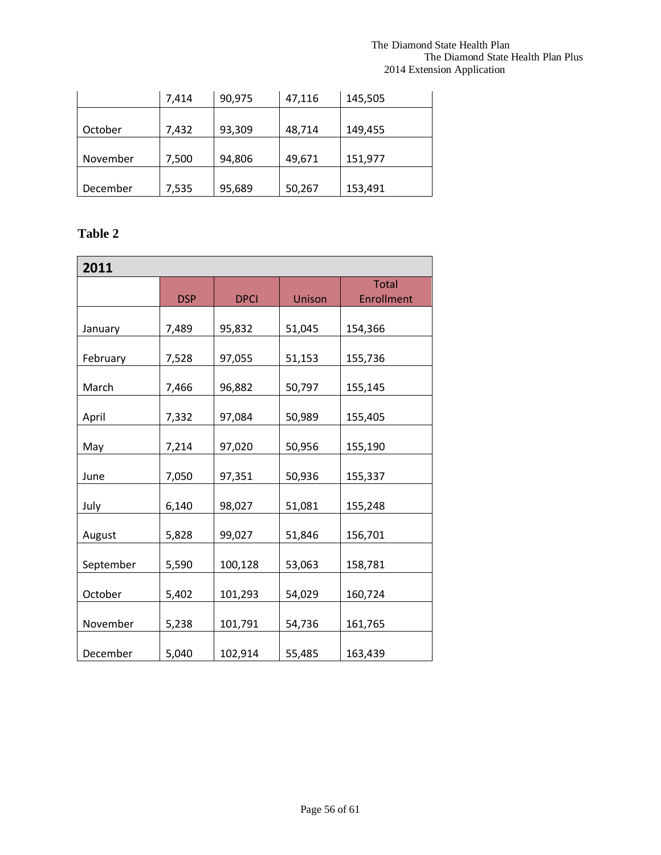### The Diamond State Health Plan The Diamond State Health Plan Plus 2014 Extension Application

|          | 7,414 | 90,975 | 47,116 | 145,505 |
|----------|-------|--------|--------|---------|
|          |       |        |        |         |
| October  | 7,432 | 93,309 | 48,714 | 149,455 |
|          |       |        |        |         |
| November | 7,500 | 94,806 | 49,671 | 151,977 |
|          |       |        |        |         |
| December | 7,535 | 95,689 | 50,267 | 153,491 |

# **Table 2**

| 2011      |            |             |        |                   |  |  |  |
|-----------|------------|-------------|--------|-------------------|--|--|--|
|           |            |             |        | <b>Total</b>      |  |  |  |
|           | <b>DSP</b> | <b>DPCI</b> | Unison | <b>Enrollment</b> |  |  |  |
| January   | 7,489      | 95,832      | 51,045 | 154,366           |  |  |  |
| February  | 7,528      | 97,055      | 51,153 | 155,736           |  |  |  |
| March     | 7,466      | 96,882      | 50,797 | 155,145           |  |  |  |
| April     | 7,332      | 97,084      | 50,989 | 155,405           |  |  |  |
| May       | 7,214      | 97,020      | 50,956 | 155,190           |  |  |  |
| June      | 7,050      | 97,351      | 50,936 | 155,337           |  |  |  |
| July      | 6,140      | 98,027      | 51,081 | 155,248           |  |  |  |
| August    | 5,828      | 99,027      | 51,846 | 156,701           |  |  |  |
| September | 5,590      | 100,128     | 53,063 | 158,781           |  |  |  |
| October   | 5,402      | 101,293     | 54,029 | 160,724           |  |  |  |
| November  | 5,238      | 101,791     | 54,736 | 161,765           |  |  |  |
| December  | 5,040      | 102,914     | 55,485 | 163,439           |  |  |  |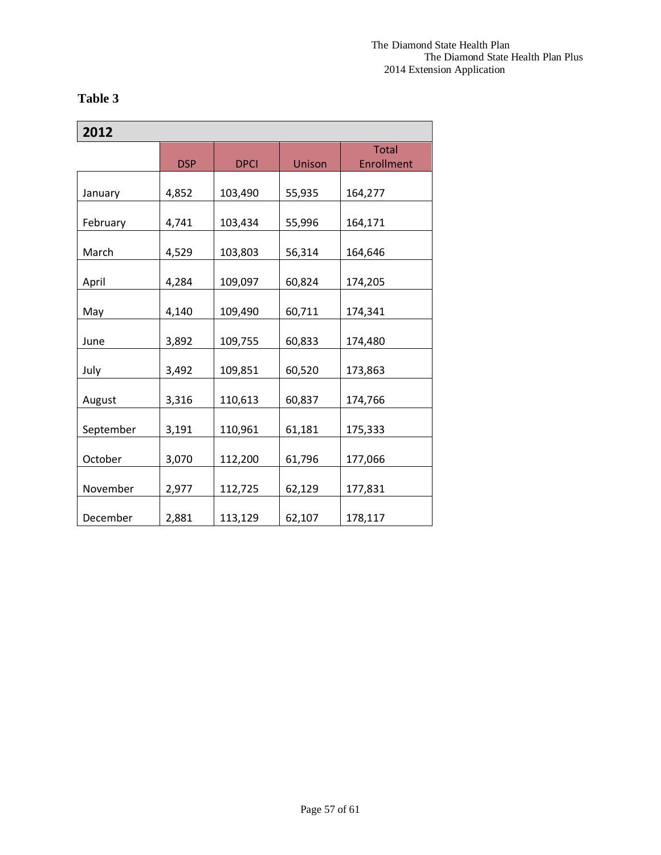# **Table 3**

| 2012      |            |             |        |                            |  |  |
|-----------|------------|-------------|--------|----------------------------|--|--|
|           | <b>DSP</b> | <b>DPCI</b> | Unison | <b>Total</b><br>Enrollment |  |  |
| January   | 4,852      | 103,490     | 55,935 | 164,277                    |  |  |
| February  | 4,741      | 103,434     | 55,996 | 164,171                    |  |  |
| March     | 4,529      | 103,803     | 56,314 | 164,646                    |  |  |
| April     | 4,284      | 109,097     | 60,824 | 174,205                    |  |  |
| May       | 4,140      | 109,490     | 60,711 | 174,341                    |  |  |
| June      | 3,892      | 109,755     | 60,833 | 174,480                    |  |  |
| July      | 3,492      | 109,851     | 60,520 | 173,863                    |  |  |
| August    | 3,316      | 110,613     | 60,837 | 174,766                    |  |  |
| September | 3,191      | 110,961     | 61,181 | 175,333                    |  |  |
| October   | 3,070      | 112,200     | 61,796 | 177,066                    |  |  |
| November  | 2,977      | 112,725     | 62,129 | 177,831                    |  |  |
| December  | 2,881      | 113,129     | 62,107 | 178,117                    |  |  |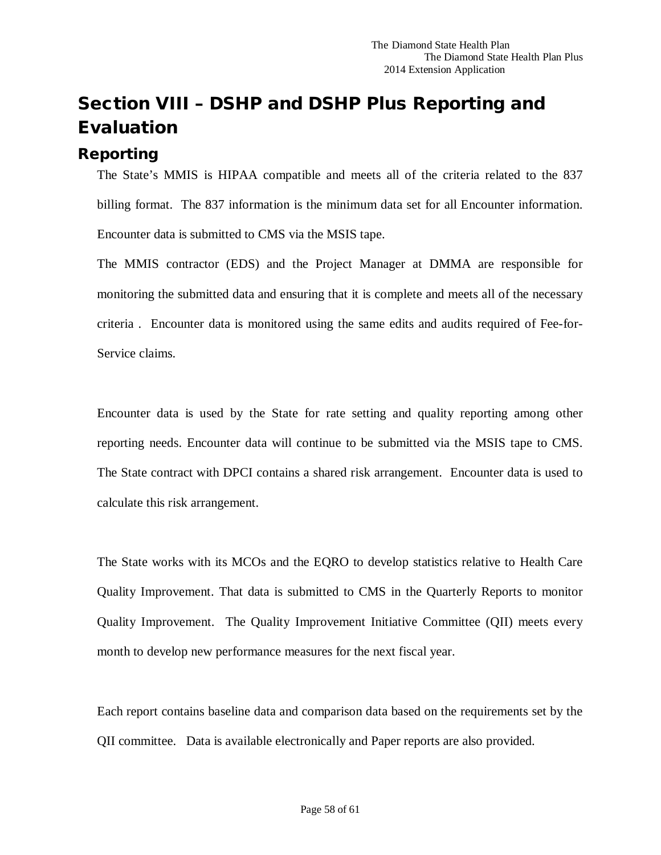# <span id="page-57-0"></span>Section VIII – DSHP and DSHP Plus Reporting and Evaluation

# <span id="page-57-1"></span>Reporting

The State's MMIS is HIPAA compatible and meets all of the criteria related to the 837 billing format. The 837 information is the minimum data set for all Encounter information. Encounter data is submitted to CMS via the MSIS tape.

The MMIS contractor (EDS) and the Project Manager at DMMA are responsible for monitoring the submitted data and ensuring that it is complete and meets all of the necessary criteria . Encounter data is monitored using the same edits and audits required of Fee-for-Service claims.

Encounter data is used by the State for rate setting and quality reporting among other reporting needs. Encounter data will continue to be submitted via the MSIS tape to CMS. The State contract with DPCI contains a shared risk arrangement. Encounter data is used to calculate this risk arrangement.

The State works with its MCOs and the EQRO to develop statistics relative to Health Care Quality Improvement. That data is submitted to CMS in the Quarterly Reports to monitor Quality Improvement. The Quality Improvement Initiative Committee (QII) meets every month to develop new performance measures for the next fiscal year.

Each report contains baseline data and comparison data based on the requirements set by the QII committee. Data is available electronically and Paper reports are also provided.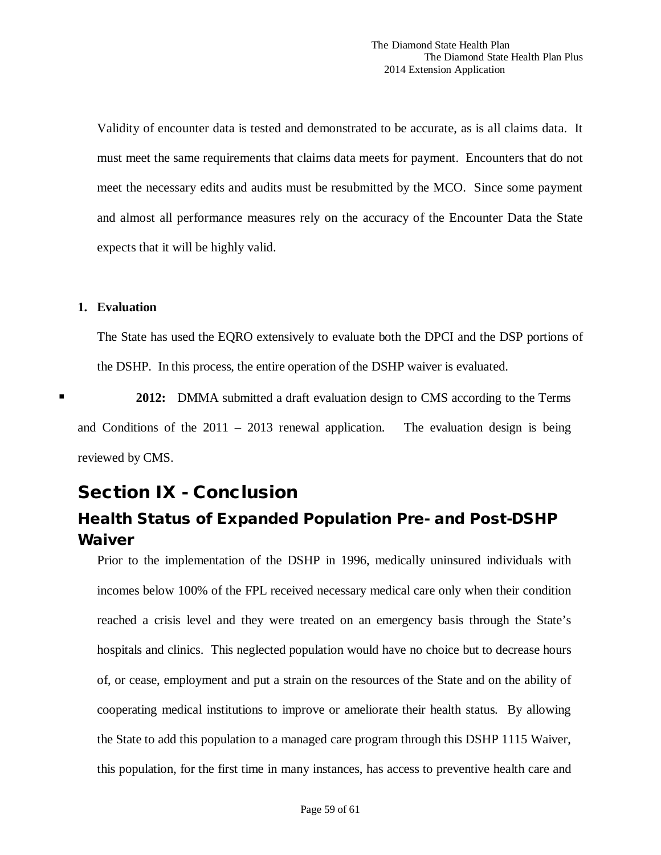Validity of encounter data is tested and demonstrated to be accurate, as is all claims data. It must meet the same requirements that claims data meets for payment. Encounters that do not meet the necessary edits and audits must be resubmitted by the MCO. Since some payment and almost all performance measures rely on the accuracy of the Encounter Data the State expects that it will be highly valid.

### **1. Evaluation**

The State has used the EQRO extensively to evaluate both the DPCI and the DSP portions of the DSHP. In this process, the entire operation of the DSHP waiver is evaluated.

 **2012:** DMMA submitted a draft evaluation design to CMS according to the Terms and Conditions of the  $2011 - 2013$  renewal application. The evaluation design is being reviewed by CMS.

# <span id="page-58-0"></span>Section IX - Conclusion

# <span id="page-58-1"></span>Health Status of Expanded Population Pre- and Post-DSHP Waiver

Prior to the implementation of the DSHP in 1996, medically uninsured individuals with incomes below 100% of the FPL received necessary medical care only when their condition reached a crisis level and they were treated on an emergency basis through the State's hospitals and clinics. This neglected population would have no choice but to decrease hours of, or cease, employment and put a strain on the resources of the State and on the ability of cooperating medical institutions to improve or ameliorate their health status. By allowing the State to add this population to a managed care program through this DSHP 1115 Waiver, this population, for the first time in many instances, has access to preventive health care and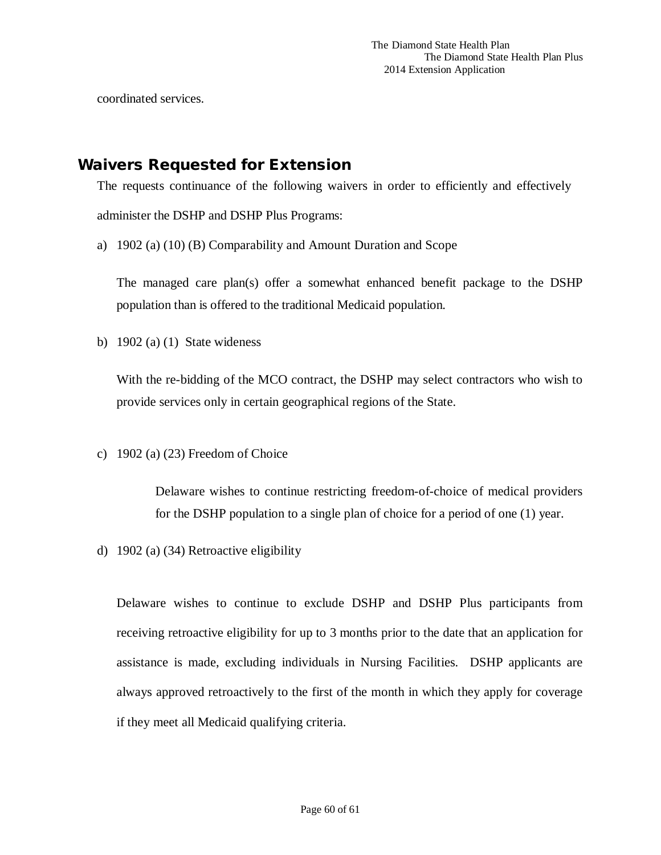coordinated services.

# <span id="page-59-0"></span>Waivers Requested for Extension

The requests continuance of the following waivers in order to efficiently and effectively administer the DSHP and DSHP Plus Programs:

a) 1902 (a) (10) (B) Comparability and Amount Duration and Scope

The managed care plan(s) offer a somewhat enhanced benefit package to the DSHP population than is offered to the traditional Medicaid population.

b) 1902 (a) (1) State wideness

With the re-bidding of the MCO contract, the DSHP may select contractors who wish to provide services only in certain geographical regions of the State.

c) 1902 (a) (23) Freedom of Choice

Delaware wishes to continue restricting freedom-of-choice of medical providers for the DSHP population to a single plan of choice for a period of one (1) year.

d) 1902 (a) (34) Retroactive eligibility

Delaware wishes to continue to exclude DSHP and DSHP Plus participants from receiving retroactive eligibility for up to 3 months prior to the date that an application for assistance is made, excluding individuals in Nursing Facilities. DSHP applicants are always approved retroactively to the first of the month in which they apply for coverage if they meet all Medicaid qualifying criteria.